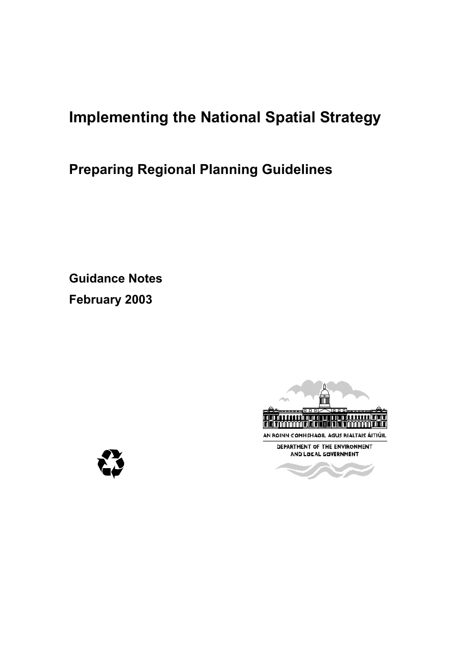# **Implementing the National Spatial Strategy**

# **Preparing Regional Planning Guidelines**

**Guidance Notes February 2003** 



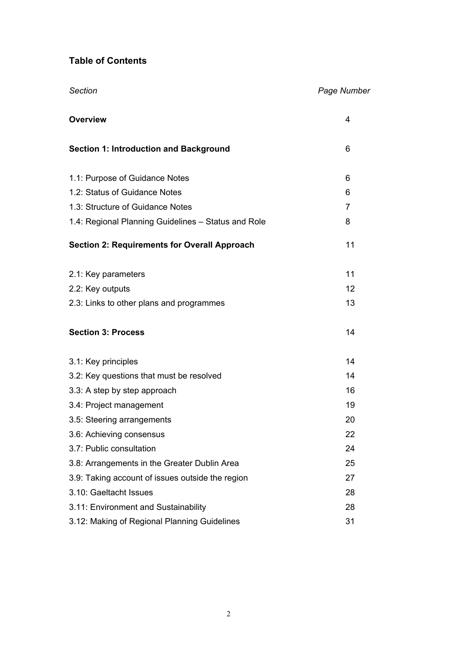# **Table of Contents**

| <b>Overview</b>                                     | 4  |
|-----------------------------------------------------|----|
| <b>Section 1: Introduction and Background</b>       | 6  |
| 1.1: Purpose of Guidance Notes                      | 6  |
| 1.2: Status of Guidance Notes                       | 6  |
| 1.3: Structure of Guidance Notes                    | 7  |
| 1.4: Regional Planning Guidelines - Status and Role | 8  |
| <b>Section 2: Requirements for Overall Approach</b> | 11 |
| 2.1: Key parameters                                 | 11 |
| 2.2: Key outputs                                    | 12 |
| 2.3: Links to other plans and programmes            | 13 |
| <b>Section 3: Process</b>                           | 14 |
| 3.1: Key principles                                 | 14 |
| 3.2: Key questions that must be resolved            | 14 |
| 3.3: A step by step approach                        | 16 |
| 3.4: Project management                             | 19 |
| 3.5: Steering arrangements                          | 20 |
| 3.6: Achieving consensus                            | 22 |
| 3.7: Public consultation                            | 24 |
| 3.8: Arrangements in the Greater Dublin Area        | 25 |
| 3.9: Taking account of issues outside the region    | 27 |
| 3.10: Gaeltacht Issues                              | 28 |
| 3.11: Environment and Sustainability                | 28 |
| 3.12: Making of Regional Planning Guidelines        | 31 |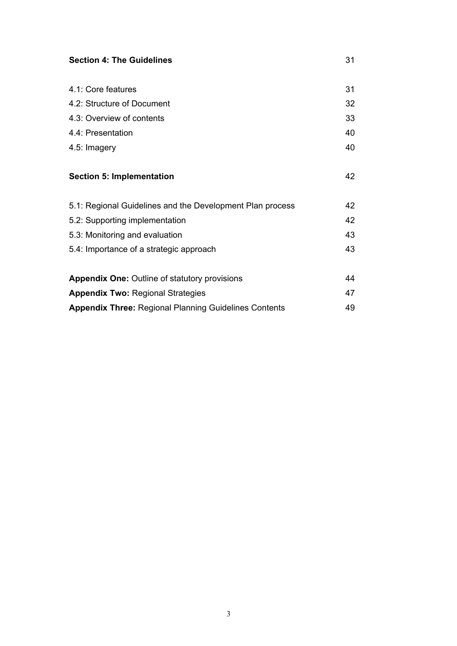| <b>Section 4: The Guidelines</b>                             |    |  |  |
|--------------------------------------------------------------|----|--|--|
|                                                              |    |  |  |
| 4.1: Core features                                           | 31 |  |  |
| 4.2: Structure of Document                                   | 32 |  |  |
| 4.3: Overview of contents                                    | 33 |  |  |
| 4.4: Presentation                                            | 40 |  |  |
| 4.5: Imagery                                                 | 40 |  |  |
|                                                              |    |  |  |
| <b>Section 5: Implementation</b>                             | 42 |  |  |
|                                                              |    |  |  |
| 5.1: Regional Guidelines and the Development Plan process    | 42 |  |  |
| 5.2: Supporting implementation                               | 42 |  |  |
| 5.3: Monitoring and evaluation                               | 43 |  |  |
| 5.4: Importance of a strategic approach                      | 43 |  |  |
|                                                              |    |  |  |
| <b>Appendix One: Outline of statutory provisions</b>         | 44 |  |  |
| <b>Appendix Two: Regional Strategies</b>                     | 47 |  |  |
| <b>Appendix Three: Regional Planning Guidelines Contents</b> | 49 |  |  |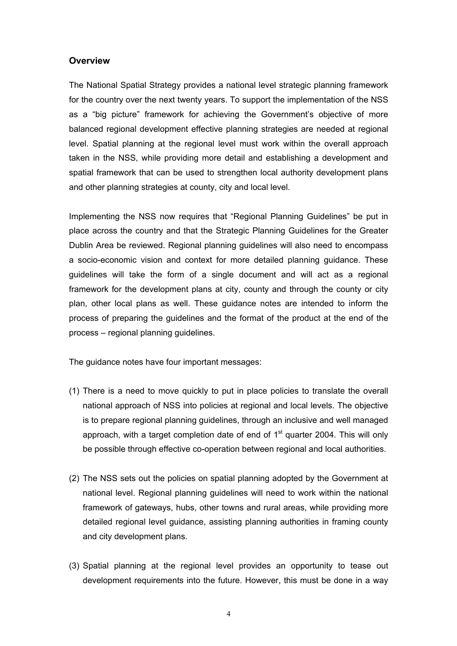# **Overview**

The National Spatial Strategy provides a national level strategic planning framework for the country over the next twenty years. To support the implementation of the NSS as a "big picture" framework for achieving the Government's objective of more balanced regional development effective planning strategies are needed at regional level. Spatial planning at the regional level must work within the overall approach taken in the NSS, while providing more detail and establishing a development and spatial framework that can be used to strengthen local authority development plans and other planning strategies at county, city and local level.

Implementing the NSS now requires that "Regional Planning Guidelines" be put in place across the country and that the Strategic Planning Guidelines for the Greater Dublin Area be reviewed. Regional planning guidelines will also need to encompass a socio-economic vision and context for more detailed planning guidance. These guidelines will take the form of a single document and will act as a regional framework for the development plans at city, county and through the county or city plan, other local plans as well. These guidance notes are intended to inform the process of preparing the guidelines and the format of the product at the end of the process – regional planning guidelines.

The guidance notes have four important messages:

- (1) There is a need to move quickly to put in place policies to translate the overall national approach of NSS into policies at regional and local levels. The objective is to prepare regional planning guidelines, through an inclusive and well managed approach, with a target completion date of end of  $1<sup>st</sup>$  quarter 2004. This will only be possible through effective co-operation between regional and local authorities.
- (2) The NSS sets out the policies on spatial planning adopted by the Government at national level. Regional planning guidelines will need to work within the national framework of gateways, hubs, other towns and rural areas, while providing more detailed regional level guidance, assisting planning authorities in framing county and city development plans.
- (3) Spatial planning at the regional level provides an opportunity to tease out development requirements into the future. However, this must be done in a way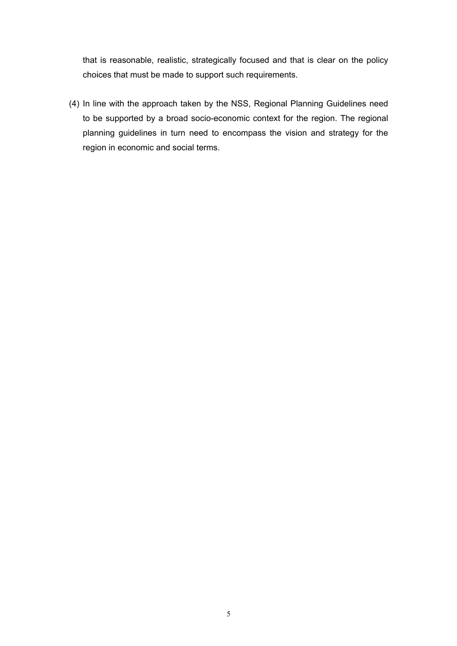that is reasonable, realistic, strategically focused and that is clear on the policy choices that must be made to support such requirements.

(4) In line with the approach taken by the NSS, Regional Planning Guidelines need to be supported by a broad socio-economic context for the region. The regional planning guidelines in turn need to encompass the vision and strategy for the region in economic and social terms.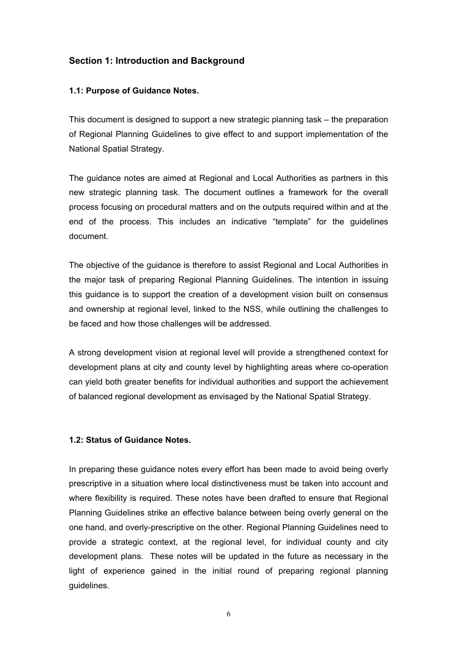# **Section 1: Introduction and Background**

# **1.1: Purpose of Guidance Notes.**

This document is designed to support a new strategic planning task – the preparation of Regional Planning Guidelines to give effect to and support implementation of the National Spatial Strategy.

The guidance notes are aimed at Regional and Local Authorities as partners in this new strategic planning task. The document outlines a framework for the overall process focusing on procedural matters and on the outputs required within and at the end of the process. This includes an indicative "template" for the guidelines document.

The objective of the guidance is therefore to assist Regional and Local Authorities in the major task of preparing Regional Planning Guidelines. The intention in issuing this guidance is to support the creation of a development vision built on consensus and ownership at regional level, linked to the NSS, while outlining the challenges to be faced and how those challenges will be addressed.

A strong development vision at regional level will provide a strengthened context for development plans at city and county level by highlighting areas where co-operation can yield both greater benefits for individual authorities and support the achievement of balanced regional development as envisaged by the National Spatial Strategy.

#### **1.2: Status of Guidance Notes.**

In preparing these guidance notes every effort has been made to avoid being overly prescriptive in a situation where local distinctiveness must be taken into account and where flexibility is required. These notes have been drafted to ensure that Regional Planning Guidelines strike an effective balance between being overly general on the one hand, and overly-prescriptive on the other. Regional Planning Guidelines need to provide a strategic context, at the regional level, for individual county and city development plans. These notes will be updated in the future as necessary in the light of experience gained in the initial round of preparing regional planning guidelines.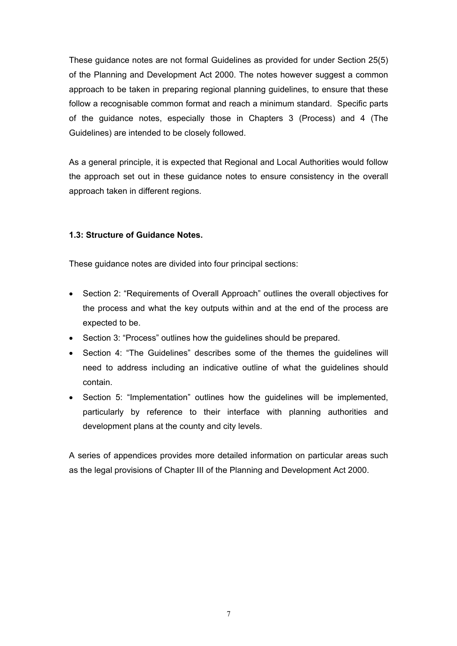These guidance notes are not formal Guidelines as provided for under Section 25(5) of the Planning and Development Act 2000. The notes however suggest a common approach to be taken in preparing regional planning guidelines, to ensure that these follow a recognisable common format and reach a minimum standard. Specific parts of the guidance notes, especially those in Chapters 3 (Process) and 4 (The Guidelines) are intended to be closely followed.

As a general principle, it is expected that Regional and Local Authorities would follow the approach set out in these guidance notes to ensure consistency in the overall approach taken in different regions.

# **1.3: Structure of Guidance Notes.**

These guidance notes are divided into four principal sections:

- Section 2: "Requirements of Overall Approach" outlines the overall objectives for the process and what the key outputs within and at the end of the process are expected to be.
- Section 3: "Process" outlines how the guidelines should be prepared.
- Section 4: "The Guidelines" describes some of the themes the guidelines will need to address including an indicative outline of what the guidelines should contain.
- Section 5: "Implementation" outlines how the guidelines will be implemented, particularly by reference to their interface with planning authorities and development plans at the county and city levels.

A series of appendices provides more detailed information on particular areas such as the legal provisions of Chapter III of the Planning and Development Act 2000.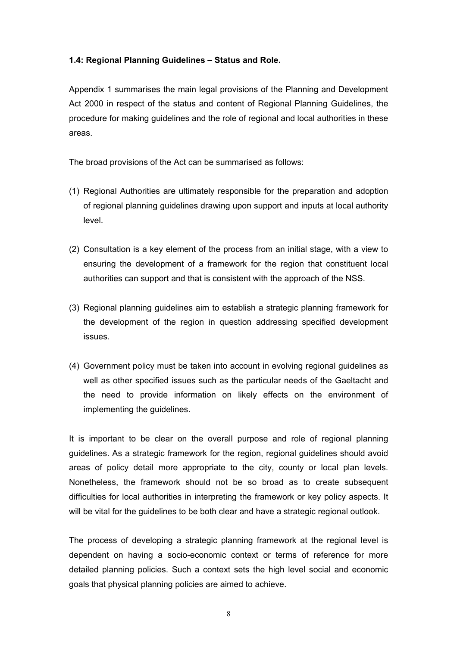#### **1.4: Regional Planning Guidelines – Status and Role.**

Appendix 1 summarises the main legal provisions of the Planning and Development Act 2000 in respect of the status and content of Regional Planning Guidelines, the procedure for making guidelines and the role of regional and local authorities in these areas.

The broad provisions of the Act can be summarised as follows:

- (1) Regional Authorities are ultimately responsible for the preparation and adoption of regional planning guidelines drawing upon support and inputs at local authority level.
- (2) Consultation is a key element of the process from an initial stage, with a view to ensuring the development of a framework for the region that constituent local authorities can support and that is consistent with the approach of the NSS.
- (3) Regional planning guidelines aim to establish a strategic planning framework for the development of the region in question addressing specified development issues.
- (4) Government policy must be taken into account in evolving regional guidelines as well as other specified issues such as the particular needs of the Gaeltacht and the need to provide information on likely effects on the environment of implementing the guidelines.

It is important to be clear on the overall purpose and role of regional planning guidelines. As a strategic framework for the region, regional guidelines should avoid areas of policy detail more appropriate to the city, county or local plan levels. Nonetheless, the framework should not be so broad as to create subsequent difficulties for local authorities in interpreting the framework or key policy aspects. It will be vital for the guidelines to be both clear and have a strategic regional outlook.

The process of developing a strategic planning framework at the regional level is dependent on having a socio-economic context or terms of reference for more detailed planning policies. Such a context sets the high level social and economic goals that physical planning policies are aimed to achieve.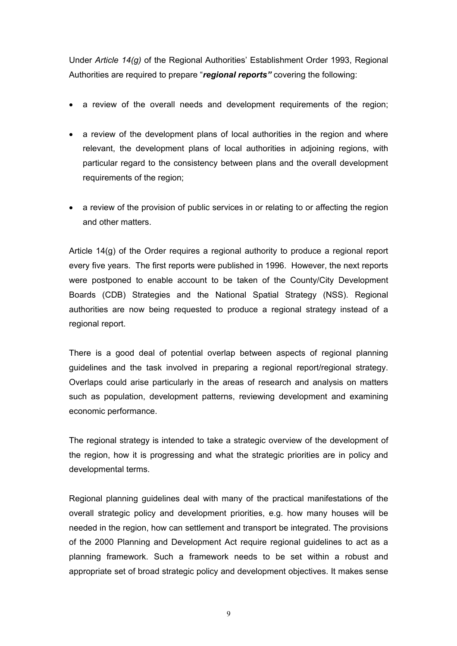Under *Article 14(g)* of the Regional Authorities' Establishment Order 1993, Regional Authorities are required to prepare "*regional reports"* covering the following:

- a review of the overall needs and development requirements of the region;
- a review of the development plans of local authorities in the region and where relevant, the development plans of local authorities in adjoining regions, with particular regard to the consistency between plans and the overall development requirements of the region;
- a review of the provision of public services in or relating to or affecting the region and other matters.

Article 14(g) of the Order requires a regional authority to produce a regional report every five years. The first reports were published in 1996. However, the next reports were postponed to enable account to be taken of the County/City Development Boards (CDB) Strategies and the National Spatial Strategy (NSS). Regional authorities are now being requested to produce a regional strategy instead of a regional report.

There is a good deal of potential overlap between aspects of regional planning guidelines and the task involved in preparing a regional report/regional strategy. Overlaps could arise particularly in the areas of research and analysis on matters such as population, development patterns, reviewing development and examining economic performance.

The regional strategy is intended to take a strategic overview of the development of the region, how it is progressing and what the strategic priorities are in policy and developmental terms.

Regional planning guidelines deal with many of the practical manifestations of the overall strategic policy and development priorities, e.g. how many houses will be needed in the region, how can settlement and transport be integrated. The provisions of the 2000 Planning and Development Act require regional guidelines to act as a planning framework. Such a framework needs to be set within a robust and appropriate set of broad strategic policy and development objectives. It makes sense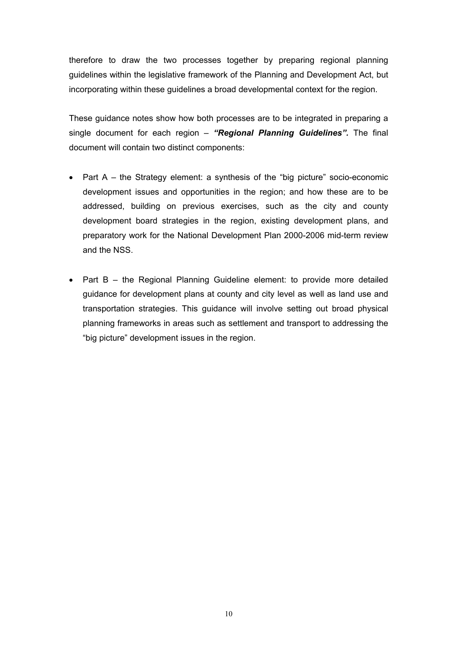therefore to draw the two processes together by preparing regional planning guidelines within the legislative framework of the Planning and Development Act, but incorporating within these guidelines a broad developmental context for the region.

These guidance notes show how both processes are to be integrated in preparing a single document for each region – *"Regional Planning Guidelines".* The final document will contain two distinct components:

- Part A the Strategy element: a synthesis of the "big picture" socio-economic development issues and opportunities in the region; and how these are to be addressed, building on previous exercises, such as the city and county development board strategies in the region, existing development plans, and preparatory work for the National Development Plan 2000-2006 mid-term review and the NSS.
- Part B the Regional Planning Guideline element: to provide more detailed guidance for development plans at county and city level as well as land use and transportation strategies. This guidance will involve setting out broad physical planning frameworks in areas such as settlement and transport to addressing the "big picture" development issues in the region.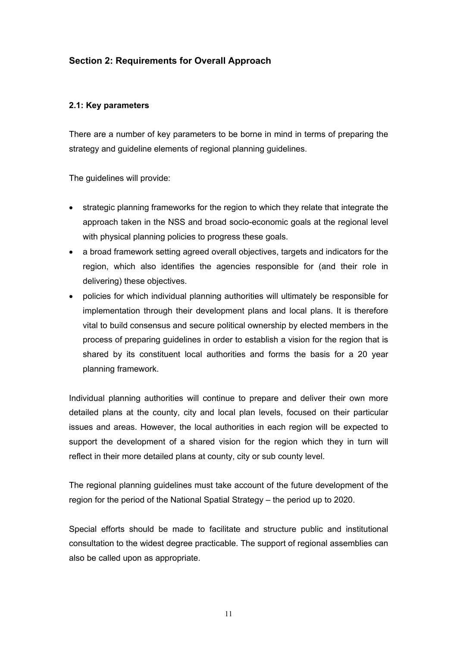# **Section 2: Requirements for Overall Approach**

# **2.1: Key parameters**

There are a number of key parameters to be borne in mind in terms of preparing the strategy and guideline elements of regional planning guidelines.

The guidelines will provide:

- strategic planning frameworks for the region to which they relate that integrate the approach taken in the NSS and broad socio-economic goals at the regional level with physical planning policies to progress these goals.
- a broad framework setting agreed overall objectives, targets and indicators for the region, which also identifies the agencies responsible for (and their role in delivering) these objectives.
- policies for which individual planning authorities will ultimately be responsible for implementation through their development plans and local plans. It is therefore vital to build consensus and secure political ownership by elected members in the process of preparing guidelines in order to establish a vision for the region that is shared by its constituent local authorities and forms the basis for a 20 year planning framework.

Individual planning authorities will continue to prepare and deliver their own more detailed plans at the county, city and local plan levels, focused on their particular issues and areas. However, the local authorities in each region will be expected to support the development of a shared vision for the region which they in turn will reflect in their more detailed plans at county, city or sub county level.

The regional planning guidelines must take account of the future development of the region for the period of the National Spatial Strategy – the period up to 2020.

Special efforts should be made to facilitate and structure public and institutional consultation to the widest degree practicable. The support of regional assemblies can also be called upon as appropriate.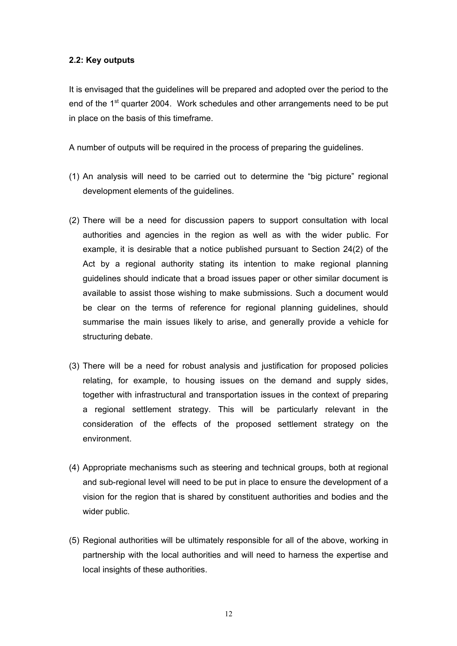#### **2.2: Key outputs**

It is envisaged that the guidelines will be prepared and adopted over the period to the end of the 1<sup>st</sup> quarter 2004. Work schedules and other arrangements need to be put in place on the basis of this timeframe.

A number of outputs will be required in the process of preparing the guidelines.

- (1) An analysis will need to be carried out to determine the "big picture" regional development elements of the guidelines.
- (2) There will be a need for discussion papers to support consultation with local authorities and agencies in the region as well as with the wider public. For example, it is desirable that a notice published pursuant to Section 24(2) of the Act by a regional authority stating its intention to make regional planning guidelines should indicate that a broad issues paper or other similar document is available to assist those wishing to make submissions. Such a document would be clear on the terms of reference for regional planning guidelines, should summarise the main issues likely to arise, and generally provide a vehicle for structuring debate.
- (3) There will be a need for robust analysis and justification for proposed policies relating, for example, to housing issues on the demand and supply sides, together with infrastructural and transportation issues in the context of preparing a regional settlement strategy. This will be particularly relevant in the consideration of the effects of the proposed settlement strategy on the environment.
- (4) Appropriate mechanisms such as steering and technical groups, both at regional and sub-regional level will need to be put in place to ensure the development of a vision for the region that is shared by constituent authorities and bodies and the wider public.
- (5) Regional authorities will be ultimately responsible for all of the above, working in partnership with the local authorities and will need to harness the expertise and local insights of these authorities.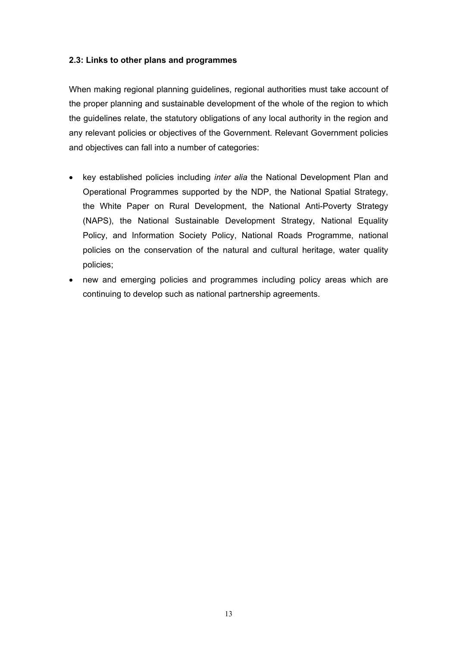#### **2.3: Links to other plans and programmes**

When making regional planning guidelines, regional authorities must take account of the proper planning and sustainable development of the whole of the region to which the guidelines relate, the statutory obligations of any local authority in the region and any relevant policies or objectives of the Government. Relevant Government policies and objectives can fall into a number of categories:

- key established policies including *inter alia* the National Development Plan and Operational Programmes supported by the NDP, the National Spatial Strategy, the White Paper on Rural Development, the National Anti-Poverty Strategy (NAPS), the National Sustainable Development Strategy, National Equality Policy, and Information Society Policy, National Roads Programme, national policies on the conservation of the natural and cultural heritage, water quality policies;
- new and emerging policies and programmes including policy areas which are continuing to develop such as national partnership agreements.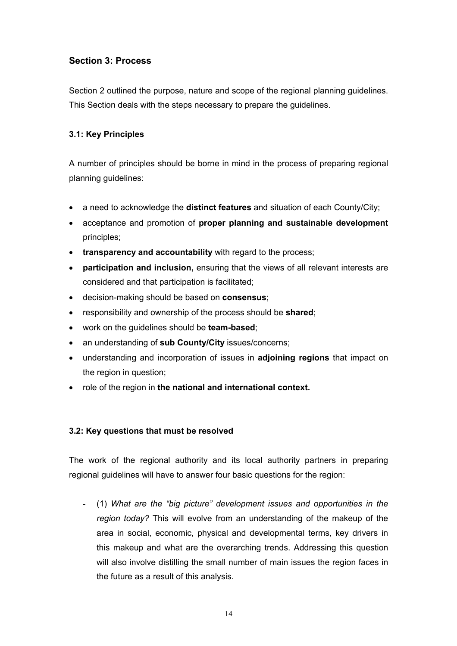# **Section 3: Process**

Section 2 outlined the purpose, nature and scope of the regional planning guidelines. This Section deals with the steps necessary to prepare the guidelines.

# **3.1: Key Principles**

A number of principles should be borne in mind in the process of preparing regional planning guidelines:

- a need to acknowledge the **distinct features** and situation of each County/City;
- acceptance and promotion of **proper planning and sustainable development** principles;
- **transparency and accountability** with regard to the process;
- **participation and inclusion,** ensuring that the views of all relevant interests are considered and that participation is facilitated;
- decision-making should be based on **consensus**;
- responsibility and ownership of the process should be **shared**;
- work on the guidelines should be **team-based**;
- an understanding of **sub County/City** issues/concerns;
- understanding and incorporation of issues in **adjoining regions** that impact on the region in question;
- role of the region in **the national and international context.**

# **3.2: Key questions that must be resolved**

The work of the regional authority and its local authority partners in preparing regional guidelines will have to answer four basic questions for the region:

- (1) *What are the "big picture" development issues and opportunities in the region today?* This will evolve from an understanding of the makeup of the area in social, economic, physical and developmental terms, key drivers in this makeup and what are the overarching trends. Addressing this question will also involve distilling the small number of main issues the region faces in the future as a result of this analysis.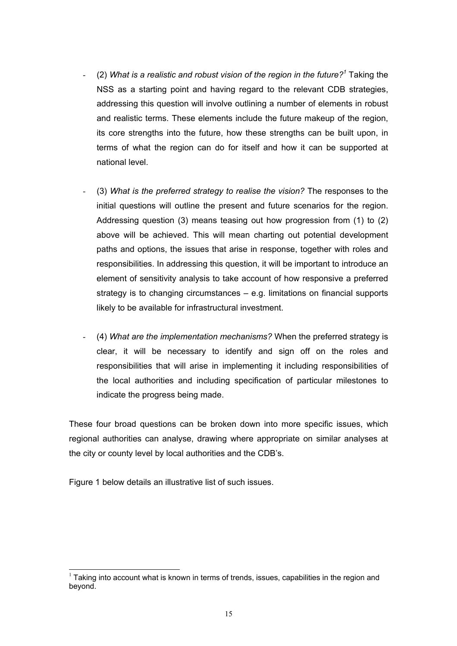- (2) *What is a realistic and robust vision of the region in the future?[1](#page-14-0)* Taking the NSS as a starting point and having regard to the relevant CDB strategies, addressing this question will involve outlining a number of elements in robust and realistic terms. These elements include the future makeup of the region, its core strengths into the future, how these strengths can be built upon, in terms of what the region can do for itself and how it can be supported at national level.
- (3) *What is the preferred strategy to realise the vision?* The responses to the initial questions will outline the present and future scenarios for the region. Addressing question (3) means teasing out how progression from (1) to (2) above will be achieved. This will mean charting out potential development paths and options, the issues that arise in response, together with roles and responsibilities. In addressing this question, it will be important to introduce an element of sensitivity analysis to take account of how responsive a preferred strategy is to changing circumstances – e.g. limitations on financial supports likely to be available for infrastructural investment.
- (4) *What are the implementation mechanisms?* When the preferred strategy is clear, it will be necessary to identify and sign off on the roles and responsibilities that will arise in implementing it including responsibilities of the local authorities and including specification of particular milestones to indicate the progress being made.

These four broad questions can be broken down into more specific issues, which regional authorities can analyse, drawing where appropriate on similar analyses at the city or county level by local authorities and the CDB's.

Figure 1 below details an illustrative list of such issues.

<span id="page-14-0"></span> $<sup>1</sup>$  Taking into account what is known in terms of trends, issues, capabilities in the region and</sup> beyond.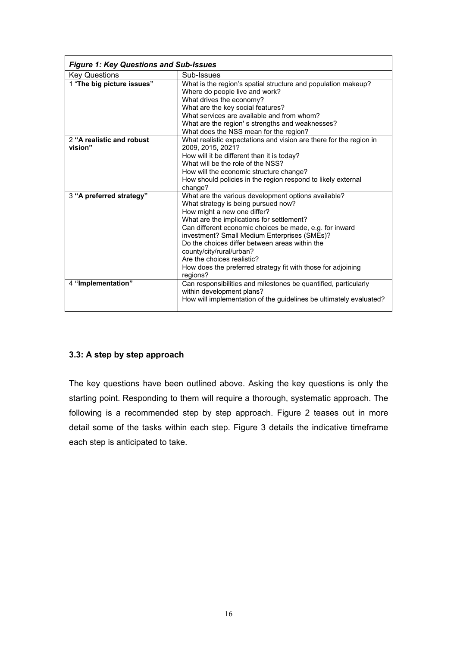| <b>Figure 1: Key Questions and Sub-Issues</b> |                                                                                                                                                                                                                                                                                                                                                                                                                                                                           |  |  |  |
|-----------------------------------------------|---------------------------------------------------------------------------------------------------------------------------------------------------------------------------------------------------------------------------------------------------------------------------------------------------------------------------------------------------------------------------------------------------------------------------------------------------------------------------|--|--|--|
| <b>Key Questions</b>                          | Sub-Issues                                                                                                                                                                                                                                                                                                                                                                                                                                                                |  |  |  |
| 1 "The big picture issues"                    | What is the region's spatial structure and population makeup?<br>Where do people live and work?<br>What drives the economy?<br>What are the key social features?<br>What services are available and from whom?<br>What are the region's strengths and weaknesses?<br>What does the NSS mean for the region?                                                                                                                                                               |  |  |  |
| 2 "A realistic and robust<br>vision"          | What realistic expectations and vision are there for the region in<br>2009, 2015, 2021?<br>How will it be different than it is today?<br>What will be the role of the NSS?<br>How will the economic structure change?<br>How should policies in the region respond to likely external<br>change?                                                                                                                                                                          |  |  |  |
| 3 "A preferred strategy"                      | What are the various development options available?<br>What strategy is being pursued now?<br>How might a new one differ?<br>What are the implications for settlement?<br>Can different economic choices be made, e.g. for inward<br>investment? Small Medium Enterprises (SMEs)?<br>Do the choices differ between areas within the<br>county/city/rural/urban?<br>Are the choices realistic?<br>How does the preferred strategy fit with those for adjoining<br>regions? |  |  |  |
| 4 "Implementation"                            | Can responsibilities and milestones be quantified, particularly<br>within development plans?<br>How will implementation of the quidelines be ultimately evaluated?                                                                                                                                                                                                                                                                                                        |  |  |  |

# **3.3: A step by step approach**

The key questions have been outlined above. Asking the key questions is only the starting point. Responding to them will require a thorough, systematic approach. The following is a recommended step by step approach. Figure 2 teases out in more detail some of the tasks within each step. Figure 3 details the indicative timeframe each step is anticipated to take.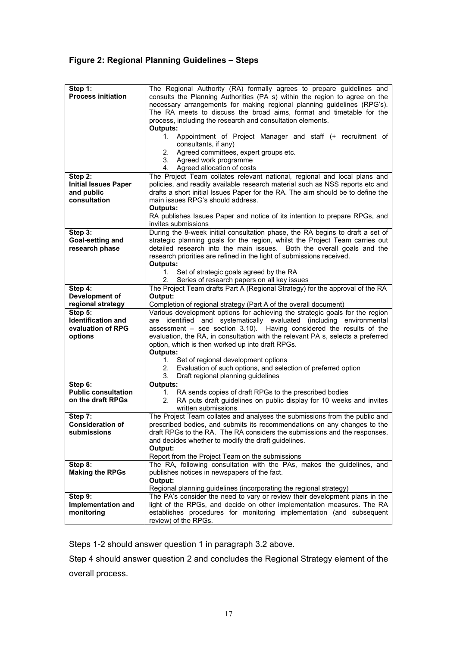# **Figure 2: Regional Planning Guidelines – Steps**

| Step 1:                     | The Regional Authority (RA) formally agrees to prepare guidelines and                        |  |  |  |
|-----------------------------|----------------------------------------------------------------------------------------------|--|--|--|
| <b>Process initiation</b>   | consults the Planning Authorities (PA s) within the region to agree on the                   |  |  |  |
|                             | necessary arrangements for making regional planning guidelines (RPG's).                      |  |  |  |
|                             | The RA meets to discuss the broad aims, format and timetable for the                         |  |  |  |
|                             | process, including the research and consultation elements.                                   |  |  |  |
|                             | Outputs:                                                                                     |  |  |  |
|                             | 1. Appointment of Project Manager and staff (+ recruitment of                                |  |  |  |
|                             | consultants, if any)                                                                         |  |  |  |
|                             | Agreed committees, expert groups etc.<br>2.                                                  |  |  |  |
|                             | Agreed work programme<br>3.<br>Agreed allocation of costs<br>4.                              |  |  |  |
| Step 2:                     | The Project Team collates relevant national, regional and local plans and                    |  |  |  |
| <b>Initial Issues Paper</b> | policies, and readily available research material such as NSS reports etc and                |  |  |  |
| and public                  | drafts a short initial Issues Paper for the RA. The aim should be to define the              |  |  |  |
| consultation                | main issues RPG's should address.                                                            |  |  |  |
|                             | <b>Outputs:</b>                                                                              |  |  |  |
|                             | RA publishes Issues Paper and notice of its intention to prepare RPGs, and                   |  |  |  |
|                             | invites submissions                                                                          |  |  |  |
| Step 3:                     | During the 8-week initial consultation phase, the RA begins to draft a set of                |  |  |  |
| Goal-setting and            | strategic planning goals for the region, whilst the Project Team carries out                 |  |  |  |
| research phase              | detailed research into the main issues. Both the overall goals and the                       |  |  |  |
|                             | research priorities are refined in the light of submissions received.                        |  |  |  |
|                             | <b>Outputs:</b>                                                                              |  |  |  |
|                             | 1.<br>Set of strategic goals agreed by the RA                                                |  |  |  |
|                             | Series of research papers on all key issues<br>2.                                            |  |  |  |
| Step 4:                     | The Project Team drafts Part A (Regional Strategy) for the approval of the RA                |  |  |  |
| Development of              | Output:                                                                                      |  |  |  |
| regional strategy           | Completion of regional strategy (Part A of the overall document)                             |  |  |  |
|                             |                                                                                              |  |  |  |
| Step 5:                     | Various development options for achieving the strategic goals for the region                 |  |  |  |
| <b>Identification and</b>   | are identified and systematically evaluated (including environmental                         |  |  |  |
| evaluation of RPG           | assessment - see section 3.10). Having considered the results of the                         |  |  |  |
| options                     | evaluation, the RA, in consultation with the relevant PA s, selects a preferred              |  |  |  |
|                             | option, which is then worked up into draft RPGs.                                             |  |  |  |
|                             | Outputs:                                                                                     |  |  |  |
|                             | 1.<br>Set of regional development options<br>2.                                              |  |  |  |
|                             | Evaluation of such options, and selection of preferred option<br>3.                          |  |  |  |
| Step 6:                     | Draft regional planning guidelines<br><b>Outputs:</b>                                        |  |  |  |
| <b>Public consultation</b>  | RA sends copies of draft RPGs to the prescribed bodies<br>1.                                 |  |  |  |
| on the draft RPGs           | RA puts draft guidelines on public display for 10 weeks and invites<br>2.                    |  |  |  |
|                             | written submissions                                                                          |  |  |  |
| Step 7:                     | The Project Team collates and analyses the submissions from the public and                   |  |  |  |
| <b>Consideration of</b>     | prescribed bodies, and submits its recommendations on any changes to the                     |  |  |  |
| submissions                 | draft RPGs to the RA. The RA considers the submissions and the responses,                    |  |  |  |
|                             | and decides whether to modify the draft guidelines.                                          |  |  |  |
|                             | Output:                                                                                      |  |  |  |
|                             | Report from the Project Team on the submissions                                              |  |  |  |
| Step 8:                     | The RA, following consultation with the PAs, makes the guidelines, and                       |  |  |  |
| <b>Making the RPGs</b>      | publishes notices in newspapers of the fact.                                                 |  |  |  |
|                             | Output:                                                                                      |  |  |  |
|                             | Regional planning guidelines (incorporating the regional strategy)                           |  |  |  |
| Step 9:                     | The PA's consider the need to vary or review their development plans in the                  |  |  |  |
| Implementation and          | light of the RPGs, and decide on other implementation measures. The RA                       |  |  |  |
| monitoring                  | establishes procedures for monitoring implementation (and subsequent<br>review) of the RPGs. |  |  |  |

Steps 1-2 should answer question 1 in paragraph 3.2 above.

Step 4 should answer question 2 and concludes the Regional Strategy element of the overall process.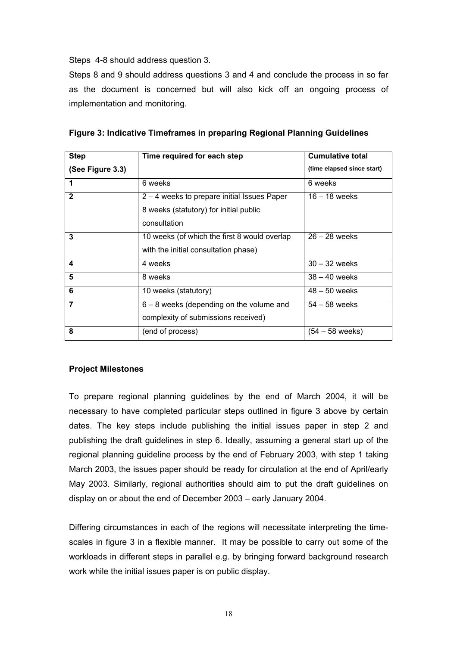Steps 4-8 should address question 3.

Steps 8 and 9 should address questions 3 and 4 and conclude the process in so far as the document is concerned but will also kick off an ongoing process of implementation and monitoring.

| <b>Step</b>      | Time required for each step                  | <b>Cumulative total</b>    |
|------------------|----------------------------------------------|----------------------------|
| (See Figure 3.3) |                                              | (time elapsed since start) |
| 1                | 6 weeks                                      | 6 weeks                    |
| $\mathbf{2}$     | 2 – 4 weeks to prepare initial Issues Paper  | $16 - 18$ weeks            |
|                  | 8 weeks (statutory) for initial public       |                            |
|                  | consultation                                 |                            |
| 3                | 10 weeks (of which the first 8 would overlap | $26 - 28$ weeks            |
|                  | with the initial consultation phase)         |                            |
| 4                | 4 weeks                                      | $30 - 32$ weeks            |
| 5                | 8 weeks                                      | $38 - 40$ weeks            |
| 6                | 10 weeks (statutory)                         | $48 - 50$ weeks            |
| $\overline{7}$   | $6 - 8$ weeks (depending on the volume and   | $54 - 58$ weeks            |
|                  | complexity of submissions received)          |                            |
| 8                | (end of process)                             | $(54 - 58$ weeks)          |

| Figure 3: Indicative Timeframes in preparing Regional Planning Guidelines |  |  |  |  |  |
|---------------------------------------------------------------------------|--|--|--|--|--|
|---------------------------------------------------------------------------|--|--|--|--|--|

#### **Project Milestones**

To prepare regional planning guidelines by the end of March 2004, it will be necessary to have completed particular steps outlined in figure 3 above by certain dates. The key steps include publishing the initial issues paper in step 2 and publishing the draft guidelines in step 6. Ideally, assuming a general start up of the regional planning guideline process by the end of February 2003, with step 1 taking March 2003, the issues paper should be ready for circulation at the end of April/early May 2003. Similarly, regional authorities should aim to put the draft guidelines on display on or about the end of December 2003 – early January 2004.

Differing circumstances in each of the regions will necessitate interpreting the timescales in figure 3 in a flexible manner. It may be possible to carry out some of the workloads in different steps in parallel e.g. by bringing forward background research work while the initial issues paper is on public display.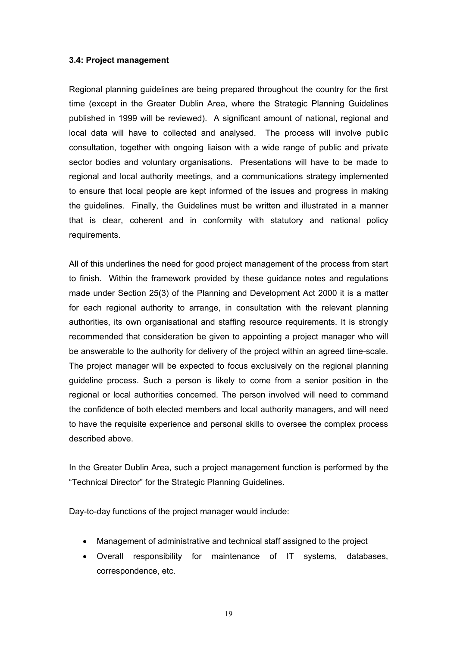#### **3.4: Project management**

Regional planning guidelines are being prepared throughout the country for the first time (except in the Greater Dublin Area, where the Strategic Planning Guidelines published in 1999 will be reviewed). A significant amount of national, regional and local data will have to collected and analysed. The process will involve public consultation, together with ongoing liaison with a wide range of public and private sector bodies and voluntary organisations. Presentations will have to be made to regional and local authority meetings, and a communications strategy implemented to ensure that local people are kept informed of the issues and progress in making the guidelines. Finally, the Guidelines must be written and illustrated in a manner that is clear, coherent and in conformity with statutory and national policy requirements.

All of this underlines the need for good project management of the process from start to finish. Within the framework provided by these guidance notes and regulations made under Section 25(3) of the Planning and Development Act 2000 it is a matter for each regional authority to arrange, in consultation with the relevant planning authorities, its own organisational and staffing resource requirements. It is strongly recommended that consideration be given to appointing a project manager who will be answerable to the authority for delivery of the project within an agreed time-scale. The project manager will be expected to focus exclusively on the regional planning guideline process. Such a person is likely to come from a senior position in the regional or local authorities concerned. The person involved will need to command the confidence of both elected members and local authority managers, and will need to have the requisite experience and personal skills to oversee the complex process described above.

In the Greater Dublin Area, such a project management function is performed by the "Technical Director" for the Strategic Planning Guidelines.

Day-to-day functions of the project manager would include:

- Management of administrative and technical staff assigned to the project
- Overall responsibility for maintenance of IT systems, databases, correspondence, etc.

19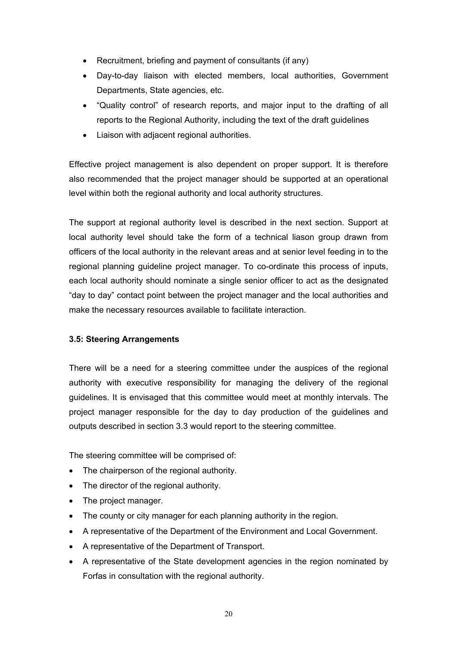- Recruitment, briefing and payment of consultants (if any)
- Day-to-day liaison with elected members, local authorities, Government Departments, State agencies, etc.
- "Quality control" of research reports, and major input to the drafting of all reports to the Regional Authority, including the text of the draft guidelines
- Liaison with adjacent regional authorities.

Effective project management is also dependent on proper support. It is therefore also recommended that the project manager should be supported at an operational level within both the regional authority and local authority structures.

The support at regional authority level is described in the next section. Support at local authority level should take the form of a technical liason group drawn from officers of the local authority in the relevant areas and at senior level feeding in to the regional planning guideline project manager. To co-ordinate this process of inputs, each local authority should nominate a single senior officer to act as the designated "day to day" contact point between the project manager and the local authorities and make the necessary resources available to facilitate interaction.

# **3.5: Steering Arrangements**

There will be a need for a steering committee under the auspices of the regional authority with executive responsibility for managing the delivery of the regional guidelines. It is envisaged that this committee would meet at monthly intervals. The project manager responsible for the day to day production of the guidelines and outputs described in section 3.3 would report to the steering committee.

The steering committee will be comprised of:

- The chairperson of the regional authority.
- The director of the regional authority.
- The project manager.
- The county or city manager for each planning authority in the region.
- A representative of the Department of the Environment and Local Government.
- A representative of the Department of Transport.
- A representative of the State development agencies in the region nominated by Forfas in consultation with the regional authority.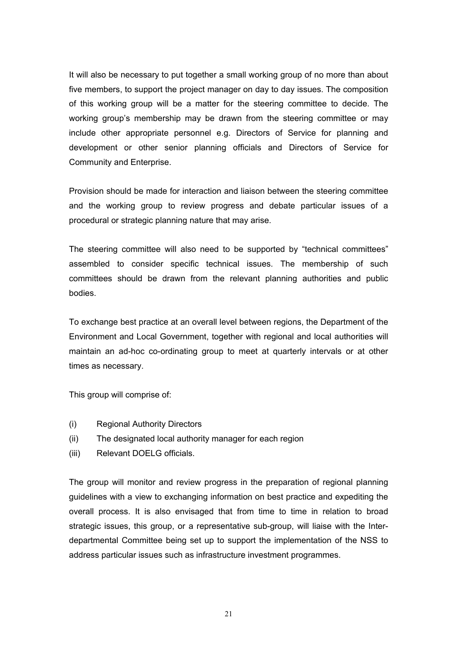It will also be necessary to put together a small working group of no more than about five members, to support the project manager on day to day issues. The composition of this working group will be a matter for the steering committee to decide. The working group's membership may be drawn from the steering committee or may include other appropriate personnel e.g. Directors of Service for planning and development or other senior planning officials and Directors of Service for Community and Enterprise.

Provision should be made for interaction and liaison between the steering committee and the working group to review progress and debate particular issues of a procedural or strategic planning nature that may arise.

The steering committee will also need to be supported by "technical committees" assembled to consider specific technical issues. The membership of such committees should be drawn from the relevant planning authorities and public bodies.

To exchange best practice at an overall level between regions, the Department of the Environment and Local Government, together with regional and local authorities will maintain an ad-hoc co-ordinating group to meet at quarterly intervals or at other times as necessary.

This group will comprise of:

- (i) Regional Authority Directors
- (ii) The designated local authority manager for each region
- (iii) Relevant DOELG officials.

The group will monitor and review progress in the preparation of regional planning guidelines with a view to exchanging information on best practice and expediting the overall process. It is also envisaged that from time to time in relation to broad strategic issues, this group, or a representative sub-group, will liaise with the Interdepartmental Committee being set up to support the implementation of the NSS to address particular issues such as infrastructure investment programmes.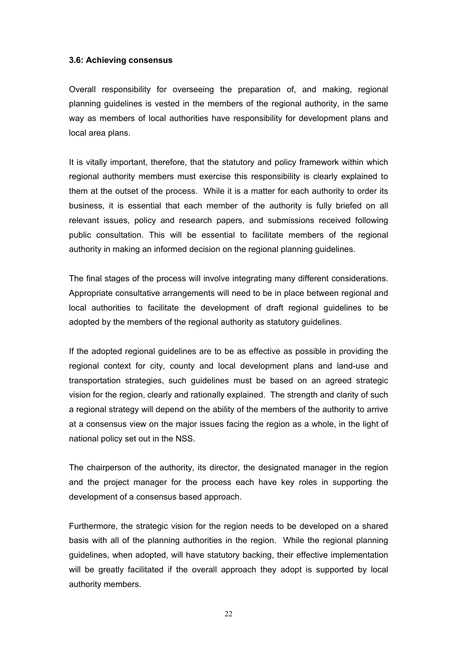#### **3.6: Achieving consensus**

Overall responsibility for overseeing the preparation of, and making, regional planning guidelines is vested in the members of the regional authority, in the same way as members of local authorities have responsibility for development plans and local area plans.

It is vitally important, therefore, that the statutory and policy framework within which regional authority members must exercise this responsibility is clearly explained to them at the outset of the process. While it is a matter for each authority to order its business, it is essential that each member of the authority is fully briefed on all relevant issues, policy and research papers, and submissions received following public consultation. This will be essential to facilitate members of the regional authority in making an informed decision on the regional planning guidelines.

The final stages of the process will involve integrating many different considerations. Appropriate consultative arrangements will need to be in place between regional and local authorities to facilitate the development of draft regional guidelines to be adopted by the members of the regional authority as statutory guidelines.

If the adopted regional guidelines are to be as effective as possible in providing the regional context for city, county and local development plans and land-use and transportation strategies, such guidelines must be based on an agreed strategic vision for the region, clearly and rationally explained. The strength and clarity of such a regional strategy will depend on the ability of the members of the authority to arrive at a consensus view on the major issues facing the region as a whole, in the light of national policy set out in the NSS.

The chairperson of the authority, its director, the designated manager in the region and the project manager for the process each have key roles in supporting the development of a consensus based approach.

Furthermore, the strategic vision for the region needs to be developed on a shared basis with all of the planning authorities in the region. While the regional planning guidelines, when adopted, will have statutory backing, their effective implementation will be greatly facilitated if the overall approach they adopt is supported by local authority members.

22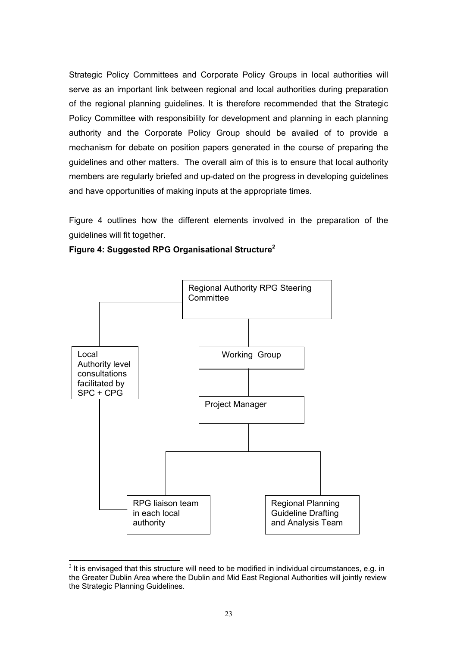Strategic Policy Committees and Corporate Policy Groups in local authorities will serve as an important link between regional and local authorities during preparation of the regional planning guidelines. It is therefore recommended that the Strategic Policy Committee with responsibility for development and planning in each planning authority and the Corporate Policy Group should be availed of to provide a mechanism for debate on position papers generated in the course of preparing the guidelines and other matters. The overall aim of this is to ensure that local authority members are regularly briefed and up-dated on the progress in developing guidelines and have opportunities of making inputs at the appropriate times.

Figure 4 outlines how the different elements involved in the preparation of the guidelines will fit together.



**Figure 4: Suggested RPG Organisational Structure<sup>2</sup>** 

<span id="page-22-0"></span> $2$  It is envisaged that this structure will need to be modified in individual circumstances, e.g. in the Greater Dublin Area where the Dublin and Mid East Regional Authorities will jointly review the Strategic Planning Guidelines.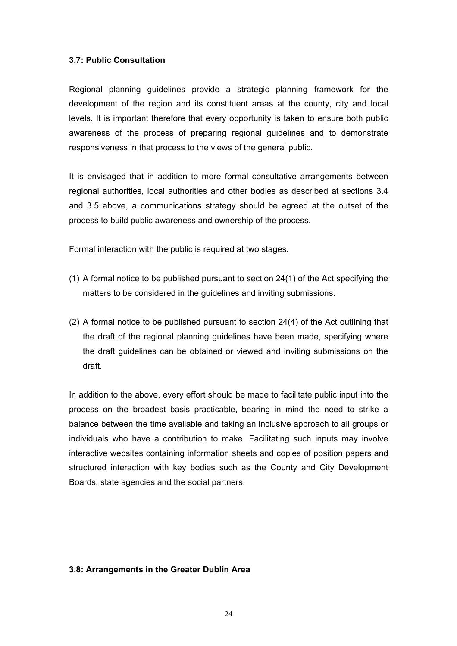#### **3.7: Public Consultation**

Regional planning guidelines provide a strategic planning framework for the development of the region and its constituent areas at the county, city and local levels. It is important therefore that every opportunity is taken to ensure both public awareness of the process of preparing regional guidelines and to demonstrate responsiveness in that process to the views of the general public.

It is envisaged that in addition to more formal consultative arrangements between regional authorities, local authorities and other bodies as described at sections 3.4 and 3.5 above, a communications strategy should be agreed at the outset of the process to build public awareness and ownership of the process.

Formal interaction with the public is required at two stages.

- (1) A formal notice to be published pursuant to section 24(1) of the Act specifying the matters to be considered in the guidelines and inviting submissions.
- (2) A formal notice to be published pursuant to section 24(4) of the Act outlining that the draft of the regional planning guidelines have been made, specifying where the draft guidelines can be obtained or viewed and inviting submissions on the draft.

In addition to the above, every effort should be made to facilitate public input into the process on the broadest basis practicable, bearing in mind the need to strike a balance between the time available and taking an inclusive approach to all groups or individuals who have a contribution to make. Facilitating such inputs may involve interactive websites containing information sheets and copies of position papers and structured interaction with key bodies such as the County and City Development Boards, state agencies and the social partners.

#### **3.8: Arrangements in the Greater Dublin Area**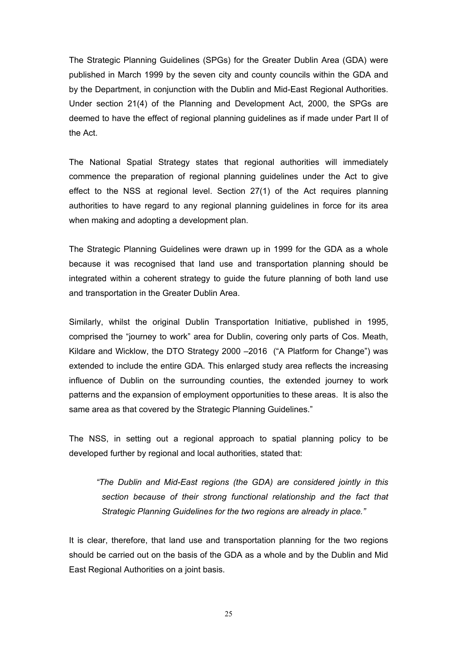The Strategic Planning Guidelines (SPGs) for the Greater Dublin Area (GDA) were published in March 1999 by the seven city and county councils within the GDA and by the Department, in conjunction with the Dublin and Mid-East Regional Authorities. Under section 21(4) of the Planning and Development Act, 2000, the SPGs are deemed to have the effect of regional planning guidelines as if made under Part II of the Act.

The National Spatial Strategy states that regional authorities will immediately commence the preparation of regional planning guidelines under the Act to give effect to the NSS at regional level. Section 27(1) of the Act requires planning authorities to have regard to any regional planning guidelines in force for its area when making and adopting a development plan.

The Strategic Planning Guidelines were drawn up in 1999 for the GDA as a whole because it was recognised that land use and transportation planning should be integrated within a coherent strategy to guide the future planning of both land use and transportation in the Greater Dublin Area.

Similarly, whilst the original Dublin Transportation Initiative, published in 1995, comprised the "journey to work" area for Dublin, covering only parts of Cos. Meath, Kildare and Wicklow, the DTO Strategy 2000 –2016 ("A Platform for Change") was extended to include the entire GDA. This enlarged study area reflects the increasing influence of Dublin on the surrounding counties, the extended journey to work patterns and the expansion of employment opportunities to these areas. It is also the same area as that covered by the Strategic Planning Guidelines."

The NSS, in setting out a regional approach to spatial planning policy to be developed further by regional and local authorities, stated that:

*"The Dublin and Mid-East regions (the GDA) are considered jointly in this section because of their strong functional relationship and the fact that Strategic Planning Guidelines for the two regions are already in place."*

It is clear, therefore, that land use and transportation planning for the two regions should be carried out on the basis of the GDA as a whole and by the Dublin and Mid East Regional Authorities on a joint basis.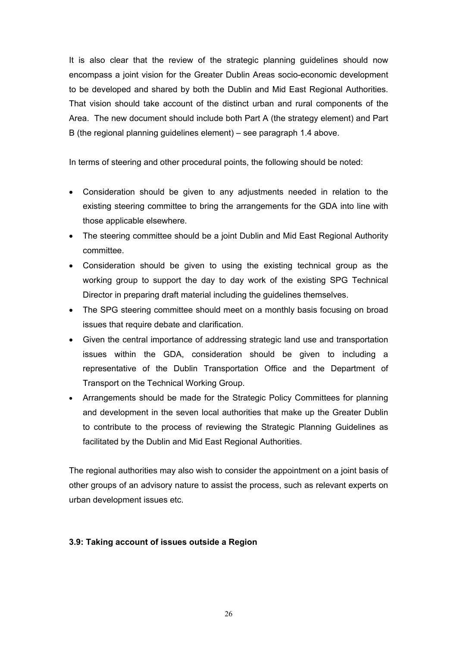It is also clear that the review of the strategic planning guidelines should now encompass a joint vision for the Greater Dublin Areas socio-economic development to be developed and shared by both the Dublin and Mid East Regional Authorities. That vision should take account of the distinct urban and rural components of the Area. The new document should include both Part A (the strategy element) and Part B (the regional planning guidelines element) – see paragraph 1.4 above.

In terms of steering and other procedural points, the following should be noted:

- Consideration should be given to any adjustments needed in relation to the existing steering committee to bring the arrangements for the GDA into line with those applicable elsewhere.
- The steering committee should be a joint Dublin and Mid East Regional Authority committee.
- Consideration should be given to using the existing technical group as the working group to support the day to day work of the existing SPG Technical Director in preparing draft material including the guidelines themselves.
- The SPG steering committee should meet on a monthly basis focusing on broad issues that require debate and clarification.
- Given the central importance of addressing strategic land use and transportation issues within the GDA, consideration should be given to including a representative of the Dublin Transportation Office and the Department of Transport on the Technical Working Group.
- Arrangements should be made for the Strategic Policy Committees for planning and development in the seven local authorities that make up the Greater Dublin to contribute to the process of reviewing the Strategic Planning Guidelines as facilitated by the Dublin and Mid East Regional Authorities.

The regional authorities may also wish to consider the appointment on a joint basis of other groups of an advisory nature to assist the process, such as relevant experts on urban development issues etc.

# **3.9: Taking account of issues outside a Region**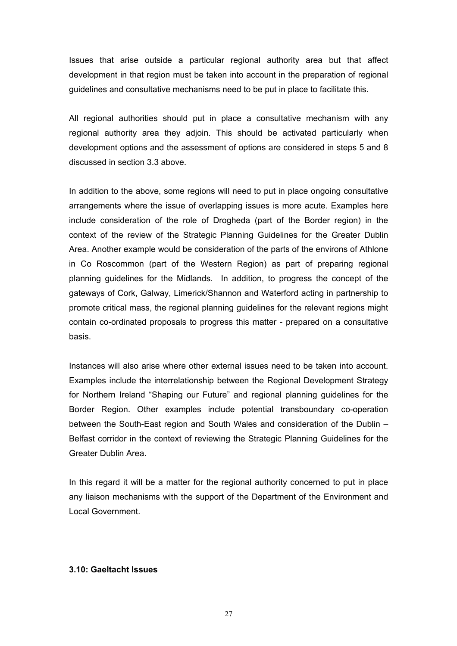Issues that arise outside a particular regional authority area but that affect development in that region must be taken into account in the preparation of regional guidelines and consultative mechanisms need to be put in place to facilitate this.

All regional authorities should put in place a consultative mechanism with any regional authority area they adjoin. This should be activated particularly when development options and the assessment of options are considered in steps 5 and 8 discussed in section 3.3 above.

In addition to the above, some regions will need to put in place ongoing consultative arrangements where the issue of overlapping issues is more acute. Examples here include consideration of the role of Drogheda (part of the Border region) in the context of the review of the Strategic Planning Guidelines for the Greater Dublin Area. Another example would be consideration of the parts of the environs of Athlone in Co Roscommon (part of the Western Region) as part of preparing regional planning guidelines for the Midlands. In addition, to progress the concept of the gateways of Cork, Galway, Limerick/Shannon and Waterford acting in partnership to promote critical mass, the regional planning guidelines for the relevant regions might contain co-ordinated proposals to progress this matter - prepared on a consultative basis.

Instances will also arise where other external issues need to be taken into account. Examples include the interrelationship between the Regional Development Strategy for Northern Ireland "Shaping our Future" and regional planning guidelines for the Border Region. Other examples include potential transboundary co-operation between the South-East region and South Wales and consideration of the Dublin – Belfast corridor in the context of reviewing the Strategic Planning Guidelines for the Greater Dublin Area.

In this regard it will be a matter for the regional authority concerned to put in place any liaison mechanisms with the support of the Department of the Environment and Local Government.

#### **3.10: Gaeltacht Issues**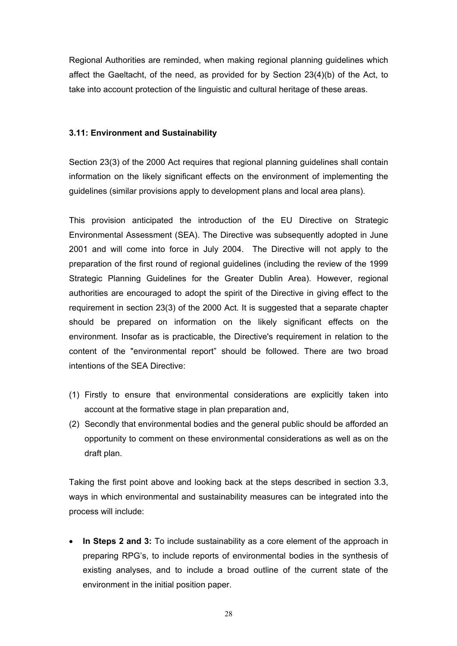Regional Authorities are reminded, when making regional planning guidelines which affect the Gaeltacht, of the need, as provided for by Section 23(4)(b) of the Act, to take into account protection of the linguistic and cultural heritage of these areas.

#### **3.11: Environment and Sustainability**

Section 23(3) of the 2000 Act requires that regional planning guidelines shall contain information on the likely significant effects on the environment of implementing the guidelines (similar provisions apply to development plans and local area plans).

This provision anticipated the introduction of the EU Directive on Strategic Environmental Assessment (SEA). The Directive was subsequently adopted in June 2001 and will come into force in July 2004. The Directive will not apply to the preparation of the first round of regional guidelines (including the review of the 1999 Strategic Planning Guidelines for the Greater Dublin Area). However, regional authorities are encouraged to adopt the spirit of the Directive in giving effect to the requirement in section 23(3) of the 2000 Act. It is suggested that a separate chapter should be prepared on information on the likely significant effects on the environment. Insofar as is practicable, the Directive's requirement in relation to the content of the "environmental report" should be followed. There are two broad intentions of the SEA Directive:

- (1) Firstly to ensure that environmental considerations are explicitly taken into account at the formative stage in plan preparation and,
- (2) Secondly that environmental bodies and the general public should be afforded an opportunity to comment on these environmental considerations as well as on the draft plan.

Taking the first point above and looking back at the steps described in section 3.3, ways in which environmental and sustainability measures can be integrated into the process will include:

• **In Steps 2 and 3:** To include sustainability as a core element of the approach in preparing RPG's, to include reports of environmental bodies in the synthesis of existing analyses, and to include a broad outline of the current state of the environment in the initial position paper.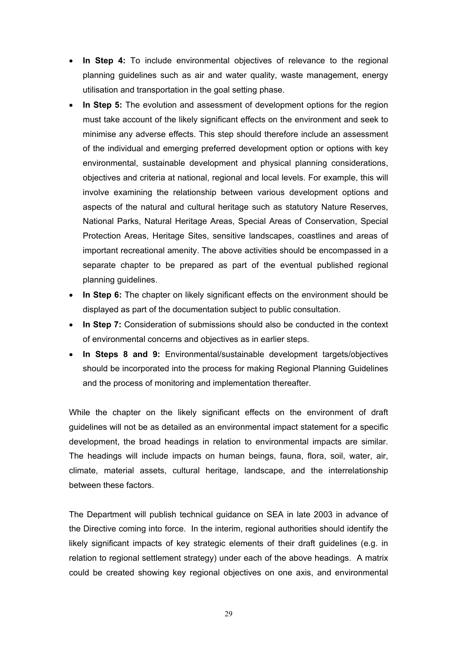- **In Step 4:** To include environmental objectives of relevance to the regional planning guidelines such as air and water quality, waste management, energy utilisation and transportation in the goal setting phase.
- **In Step 5:** The evolution and assessment of development options for the region must take account of the likely significant effects on the environment and seek to minimise any adverse effects. This step should therefore include an assessment of the individual and emerging preferred development option or options with key environmental, sustainable development and physical planning considerations, objectives and criteria at national, regional and local levels. For example, this will involve examining the relationship between various development options and aspects of the natural and cultural heritage such as statutory Nature Reserves, National Parks, Natural Heritage Areas, Special Areas of Conservation, Special Protection Areas, Heritage Sites, sensitive landscapes, coastlines and areas of important recreational amenity. The above activities should be encompassed in a separate chapter to be prepared as part of the eventual published regional planning guidelines.
- **In Step 6:** The chapter on likely significant effects on the environment should be displayed as part of the documentation subject to public consultation.
- **In Step 7:** Consideration of submissions should also be conducted in the context of environmental concerns and objectives as in earlier steps.
- **In Steps 8 and 9:** Environmental/sustainable development targets/objectives should be incorporated into the process for making Regional Planning Guidelines and the process of monitoring and implementation thereafter.

While the chapter on the likely significant effects on the environment of draft guidelines will not be as detailed as an environmental impact statement for a specific development, the broad headings in relation to environmental impacts are similar. The headings will include impacts on human beings, fauna, flora, soil, water, air, climate, material assets, cultural heritage, landscape, and the interrelationship between these factors.

The Department will publish technical guidance on SEA in late 2003 in advance of the Directive coming into force. In the interim, regional authorities should identify the likely significant impacts of key strategic elements of their draft guidelines (e.g. in relation to regional settlement strategy) under each of the above headings. A matrix could be created showing key regional objectives on one axis, and environmental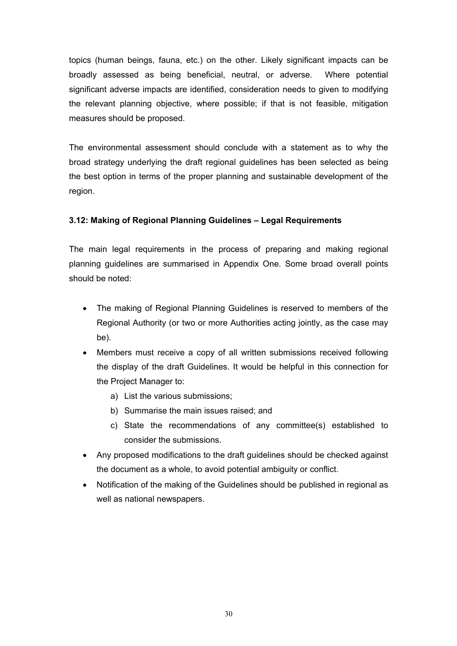topics (human beings, fauna, etc.) on the other. Likely significant impacts can be broadly assessed as being beneficial, neutral, or adverse. Where potential significant adverse impacts are identified, consideration needs to given to modifying the relevant planning objective, where possible; if that is not feasible, mitigation measures should be proposed.

The environmental assessment should conclude with a statement as to why the broad strategy underlying the draft regional guidelines has been selected as being the best option in terms of the proper planning and sustainable development of the region.

# **3.12: Making of Regional Planning Guidelines – Legal Requirements**

The main legal requirements in the process of preparing and making regional planning guidelines are summarised in Appendix One. Some broad overall points should be noted:

- The making of Regional Planning Guidelines is reserved to members of the Regional Authority (or two or more Authorities acting jointly, as the case may be).
- Members must receive a copy of all written submissions received following the display of the draft Guidelines. It would be helpful in this connection for the Project Manager to:
	- a) List the various submissions;
	- b) Summarise the main issues raised; and
	- c) State the recommendations of any committee(s) established to consider the submissions.
- Any proposed modifications to the draft guidelines should be checked against the document as a whole, to avoid potential ambiguity or conflict.
- Notification of the making of the Guidelines should be published in regional as well as national newspapers.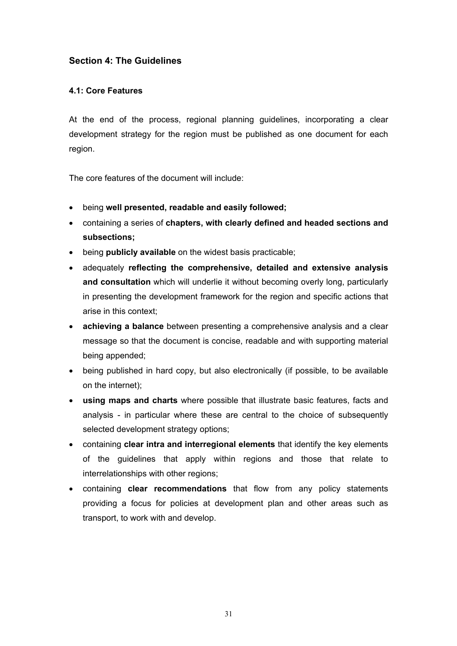# **Section 4: The Guidelines**

# **4.1: Core Features**

At the end of the process, regional planning guidelines, incorporating a clear development strategy for the region must be published as one document for each region.

The core features of the document will include:

- being **well presented, readable and easily followed;**
- containing a series of **chapters, with clearly defined and headed sections and subsections;**
- being **publicly available** on the widest basis practicable;
- adequately **reflecting the comprehensive, detailed and extensive analysis and consultation** which will underlie it without becoming overly long, particularly in presenting the development framework for the region and specific actions that arise in this context;
- **achieving a balance** between presenting a comprehensive analysis and a clear message so that the document is concise, readable and with supporting material being appended;
- being published in hard copy, but also electronically (if possible, to be available on the internet);
- **using maps and charts** where possible that illustrate basic features, facts and analysis - in particular where these are central to the choice of subsequently selected development strategy options;
- containing **clear intra and interregional elements** that identify the key elements of the guidelines that apply within regions and those that relate to interrelationships with other regions;
- containing **clear recommendations** that flow from any policy statements providing a focus for policies at development plan and other areas such as transport, to work with and develop.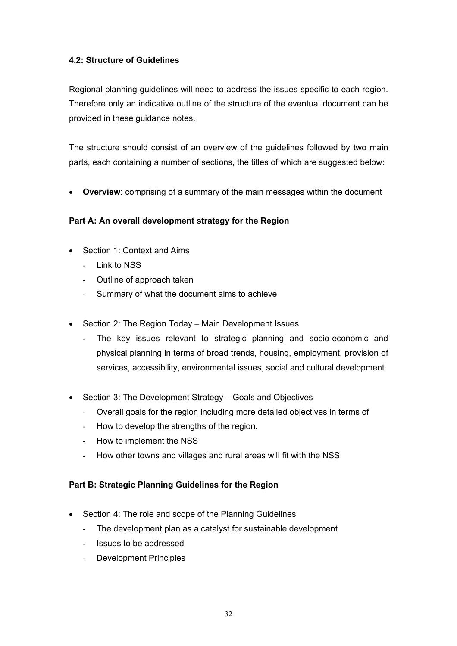# **4.2: Structure of Guidelines**

Regional planning guidelines will need to address the issues specific to each region. Therefore only an indicative outline of the structure of the eventual document can be provided in these guidance notes.

The structure should consist of an overview of the guidelines followed by two main parts, each containing a number of sections, the titles of which are suggested below:

• **Overview**: comprising of a summary of the main messages within the document

# **Part A: An overall development strategy for the Region**

- Section 1: Context and Aims
	- Link to NSS
	- Outline of approach taken
	- Summary of what the document aims to achieve
- Section 2: The Region Today Main Development Issues
	- The key issues relevant to strategic planning and socio-economic and physical planning in terms of broad trends, housing, employment, provision of services, accessibility, environmental issues, social and cultural development.
- Section 3: The Development Strategy Goals and Objectives
	- Overall goals for the region including more detailed objectives in terms of
	- How to develop the strengths of the region.
	- How to implement the NSS
	- How other towns and villages and rural areas will fit with the NSS

#### **Part B: Strategic Planning Guidelines for the Region**

- Section 4: The role and scope of the Planning Guidelines
	- The development plan as a catalyst for sustainable development
	- Issues to be addressed
	- Development Principles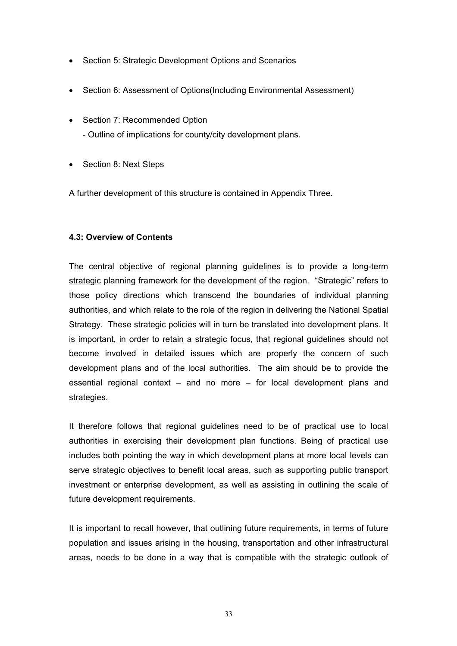- Section 5: Strategic Development Options and Scenarios
- Section 6: Assessment of Options (Including Environmental Assessment)
- Section 7: Recommended Option
	- Outline of implications for county/city development plans.
- Section 8: Next Steps

A further development of this structure is contained in Appendix Three.

#### **4.3: Overview of Contents**

The central objective of regional planning guidelines is to provide a long-term strategic planning framework for the development of the region. "Strategic" refers to those policy directions which transcend the boundaries of individual planning authorities, and which relate to the role of the region in delivering the National Spatial Strategy. These strategic policies will in turn be translated into development plans. It is important, in order to retain a strategic focus, that regional guidelines should not become involved in detailed issues which are properly the concern of such development plans and of the local authorities. The aim should be to provide the essential regional context – and no more – for local development plans and strategies.

It therefore follows that regional guidelines need to be of practical use to local authorities in exercising their development plan functions. Being of practical use includes both pointing the way in which development plans at more local levels can serve strategic objectives to benefit local areas, such as supporting public transport investment or enterprise development, as well as assisting in outlining the scale of future development requirements.

It is important to recall however, that outlining future requirements, in terms of future population and issues arising in the housing, transportation and other infrastructural areas, needs to be done in a way that is compatible with the strategic outlook of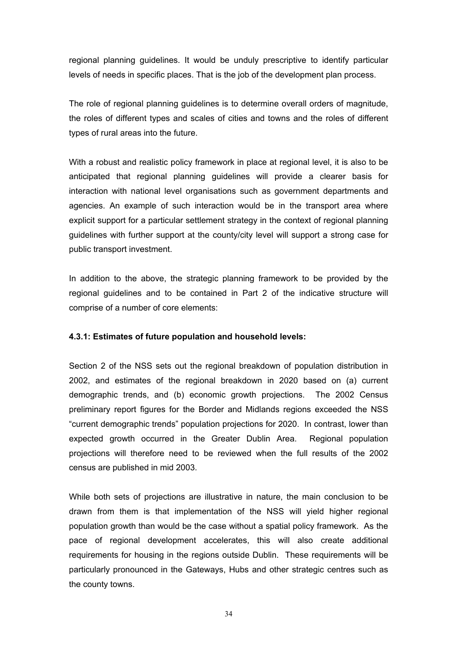regional planning guidelines. It would be unduly prescriptive to identify particular levels of needs in specific places. That is the job of the development plan process.

The role of regional planning guidelines is to determine overall orders of magnitude, the roles of different types and scales of cities and towns and the roles of different types of rural areas into the future.

With a robust and realistic policy framework in place at regional level, it is also to be anticipated that regional planning guidelines will provide a clearer basis for interaction with national level organisations such as government departments and agencies. An example of such interaction would be in the transport area where explicit support for a particular settlement strategy in the context of regional planning guidelines with further support at the county/city level will support a strong case for public transport investment.

In addition to the above, the strategic planning framework to be provided by the regional guidelines and to be contained in Part 2 of the indicative structure will comprise of a number of core elements:

#### **4.3.1: Estimates of future population and household levels:**

Section 2 of the NSS sets out the regional breakdown of population distribution in 2002, and estimates of the regional breakdown in 2020 based on (a) current demographic trends, and (b) economic growth projections. The 2002 Census preliminary report figures for the Border and Midlands regions exceeded the NSS "current demographic trends" population projections for 2020. In contrast, lower than expected growth occurred in the Greater Dublin Area. Regional population projections will therefore need to be reviewed when the full results of the 2002 census are published in mid 2003.

While both sets of projections are illustrative in nature, the main conclusion to be drawn from them is that implementation of the NSS will yield higher regional population growth than would be the case without a spatial policy framework. As the pace of regional development accelerates, this will also create additional requirements for housing in the regions outside Dublin. These requirements will be particularly pronounced in the Gateways, Hubs and other strategic centres such as the county towns.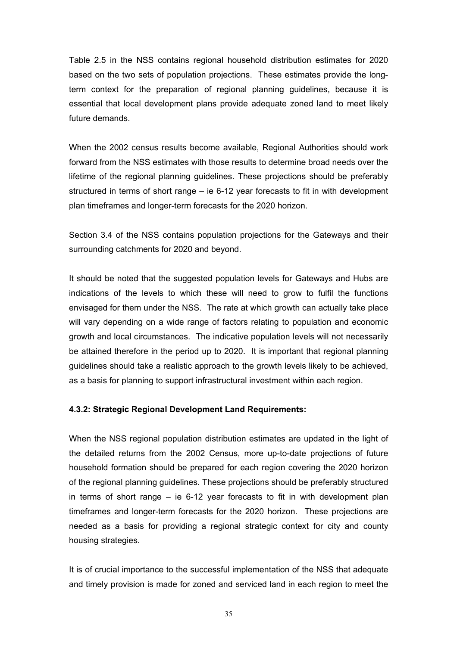Table 2.5 in the NSS contains regional household distribution estimates for 2020 based on the two sets of population projections. These estimates provide the longterm context for the preparation of regional planning guidelines, because it is essential that local development plans provide adequate zoned land to meet likely future demands.

When the 2002 census results become available, Regional Authorities should work forward from the NSS estimates with those results to determine broad needs over the lifetime of the regional planning guidelines. These projections should be preferably structured in terms of short range – ie 6-12 year forecasts to fit in with development plan timeframes and longer-term forecasts for the 2020 horizon.

Section 3.4 of the NSS contains population projections for the Gateways and their surrounding catchments for 2020 and beyond.

It should be noted that the suggested population levels for Gateways and Hubs are indications of the levels to which these will need to grow to fulfil the functions envisaged for them under the NSS. The rate at which growth can actually take place will vary depending on a wide range of factors relating to population and economic growth and local circumstances. The indicative population levels will not necessarily be attained therefore in the period up to 2020. It is important that regional planning guidelines should take a realistic approach to the growth levels likely to be achieved, as a basis for planning to support infrastructural investment within each region.

#### **4.3.2: Strategic Regional Development Land Requirements:**

When the NSS regional population distribution estimates are updated in the light of the detailed returns from the 2002 Census, more up-to-date projections of future household formation should be prepared for each region covering the 2020 horizon of the regional planning guidelines. These projections should be preferably structured in terms of short range – ie 6-12 year forecasts to fit in with development plan timeframes and longer-term forecasts for the 2020 horizon. These projections are needed as a basis for providing a regional strategic context for city and county housing strategies.

It is of crucial importance to the successful implementation of the NSS that adequate and timely provision is made for zoned and serviced land in each region to meet the

35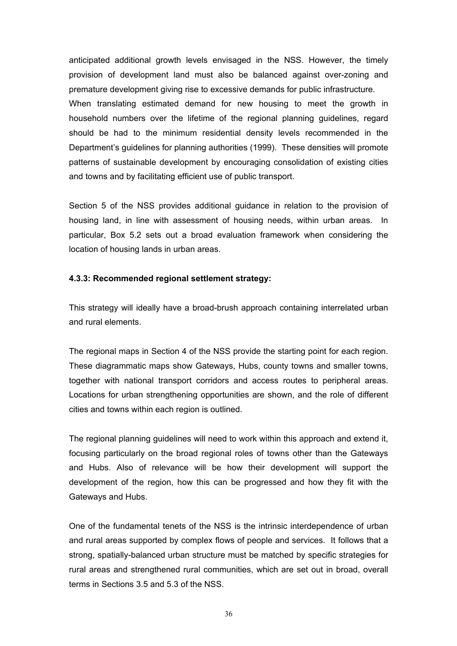anticipated additional growth levels envisaged in the NSS. However, the timely provision of development land must also be balanced against over-zoning and premature development giving rise to excessive demands for public infrastructure. When translating estimated demand for new housing to meet the growth in household numbers over the lifetime of the regional planning guidelines, regard should be had to the minimum residential density levels recommended in the Department's guidelines for planning authorities (1999). These densities will promote patterns of sustainable development by encouraging consolidation of existing cities and towns and by facilitating efficient use of public transport.

Section 5 of the NSS provides additional guidance in relation to the provision of housing land, in line with assessment of housing needs, within urban areas. In particular, Box 5.2 sets out a broad evaluation framework when considering the location of housing lands in urban areas.

#### **4.3.3: Recommended regional settlement strategy:**

This strategy will ideally have a broad-brush approach containing interrelated urban and rural elements.

The regional maps in Section 4 of the NSS provide the starting point for each region. These diagrammatic maps show Gateways, Hubs, county towns and smaller towns, together with national transport corridors and access routes to peripheral areas. Locations for urban strengthening opportunities are shown, and the role of different cities and towns within each region is outlined.

The regional planning guidelines will need to work within this approach and extend it, focusing particularly on the broad regional roles of towns other than the Gateways and Hubs. Also of relevance will be how their development will support the development of the region, how this can be progressed and how they fit with the Gateways and Hubs.

One of the fundamental tenets of the NSS is the intrinsic interdependence of urban and rural areas supported by complex flows of people and services. It follows that a strong, spatially-balanced urban structure must be matched by specific strategies for rural areas and strengthened rural communities, which are set out in broad, overall terms in Sections 3.5 and 5.3 of the NSS.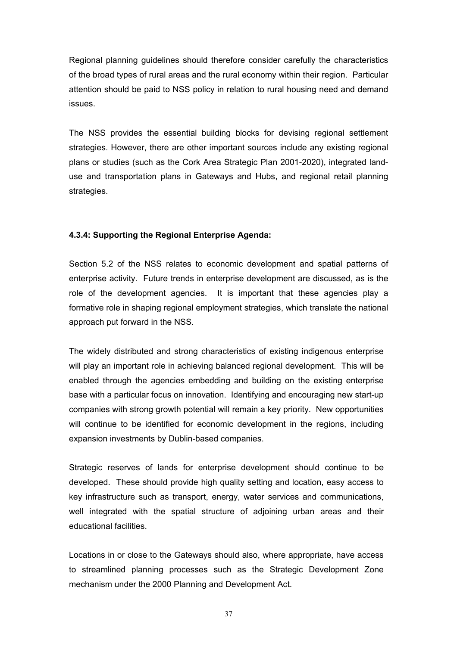Regional planning guidelines should therefore consider carefully the characteristics of the broad types of rural areas and the rural economy within their region. Particular attention should be paid to NSS policy in relation to rural housing need and demand issues.

The NSS provides the essential building blocks for devising regional settlement strategies. However, there are other important sources include any existing regional plans or studies (such as the Cork Area Strategic Plan 2001-2020), integrated landuse and transportation plans in Gateways and Hubs, and regional retail planning strategies.

#### **4.3.4: Supporting the Regional Enterprise Agenda:**

Section 5.2 of the NSS relates to economic development and spatial patterns of enterprise activity. Future trends in enterprise development are discussed, as is the role of the development agencies. It is important that these agencies play a formative role in shaping regional employment strategies, which translate the national approach put forward in the NSS.

The widely distributed and strong characteristics of existing indigenous enterprise will play an important role in achieving balanced regional development. This will be enabled through the agencies embedding and building on the existing enterprise base with a particular focus on innovation. Identifying and encouraging new start-up companies with strong growth potential will remain a key priority. New opportunities will continue to be identified for economic development in the regions, including expansion investments by Dublin-based companies.

Strategic reserves of lands for enterprise development should continue to be developed. These should provide high quality setting and location, easy access to key infrastructure such as transport, energy, water services and communications, well integrated with the spatial structure of adjoining urban areas and their educational facilities.

Locations in or close to the Gateways should also, where appropriate, have access to streamlined planning processes such as the Strategic Development Zone mechanism under the 2000 Planning and Development Act.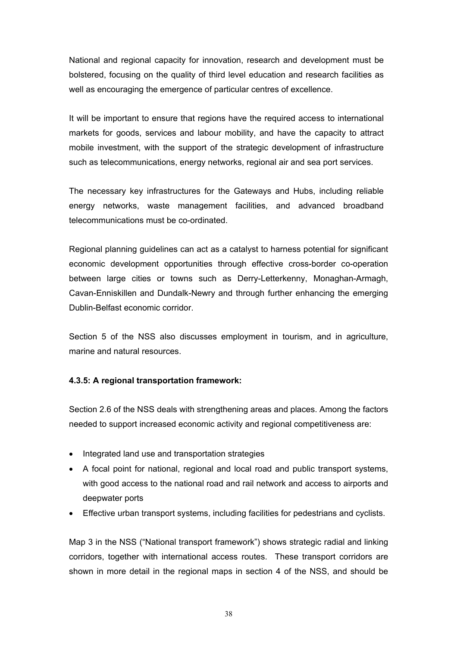National and regional capacity for innovation, research and development must be bolstered, focusing on the quality of third level education and research facilities as well as encouraging the emergence of particular centres of excellence.

It will be important to ensure that regions have the required access to international markets for goods, services and labour mobility, and have the capacity to attract mobile investment, with the support of the strategic development of infrastructure such as telecommunications, energy networks, regional air and sea port services.

The necessary key infrastructures for the Gateways and Hubs, including reliable energy networks, waste management facilities, and advanced broadband telecommunications must be co-ordinated.

Regional planning guidelines can act as a catalyst to harness potential for significant economic development opportunities through effective cross-border co-operation between large cities or towns such as Derry-Letterkenny, Monaghan-Armagh, Cavan-Enniskillen and Dundalk-Newry and through further enhancing the emerging Dublin-Belfast economic corridor.

Section 5 of the NSS also discusses employment in tourism, and in agriculture, marine and natural resources.

#### **4.3.5: A regional transportation framework:**

Section 2.6 of the NSS deals with strengthening areas and places. Among the factors needed to support increased economic activity and regional competitiveness are:

- Integrated land use and transportation strategies
- A focal point for national, regional and local road and public transport systems, with good access to the national road and rail network and access to airports and deepwater ports
- Effective urban transport systems, including facilities for pedestrians and cyclists.

Map 3 in the NSS ("National transport framework") shows strategic radial and linking corridors, together with international access routes. These transport corridors are shown in more detail in the regional maps in section 4 of the NSS, and should be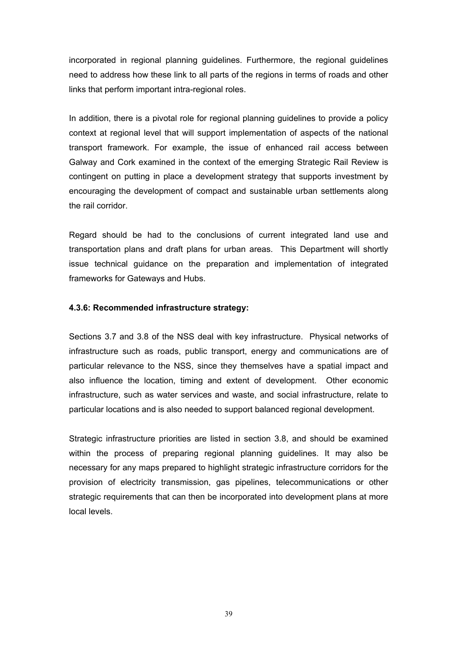incorporated in regional planning guidelines. Furthermore, the regional guidelines need to address how these link to all parts of the regions in terms of roads and other links that perform important intra-regional roles.

In addition, there is a pivotal role for regional planning guidelines to provide a policy context at regional level that will support implementation of aspects of the national transport framework. For example, the issue of enhanced rail access between Galway and Cork examined in the context of the emerging Strategic Rail Review is contingent on putting in place a development strategy that supports investment by encouraging the development of compact and sustainable urban settlements along the rail corridor.

Regard should be had to the conclusions of current integrated land use and transportation plans and draft plans for urban areas. This Department will shortly issue technical guidance on the preparation and implementation of integrated frameworks for Gateways and Hubs.

#### **4.3.6: Recommended infrastructure strategy:**

Sections 3.7 and 3.8 of the NSS deal with key infrastructure. Physical networks of infrastructure such as roads, public transport, energy and communications are of particular relevance to the NSS, since they themselves have a spatial impact and also influence the location, timing and extent of development. Other economic infrastructure, such as water services and waste, and social infrastructure, relate to particular locations and is also needed to support balanced regional development.

Strategic infrastructure priorities are listed in section 3.8, and should be examined within the process of preparing regional planning guidelines. It may also be necessary for any maps prepared to highlight strategic infrastructure corridors for the provision of electricity transmission, gas pipelines, telecommunications or other strategic requirements that can then be incorporated into development plans at more local levels.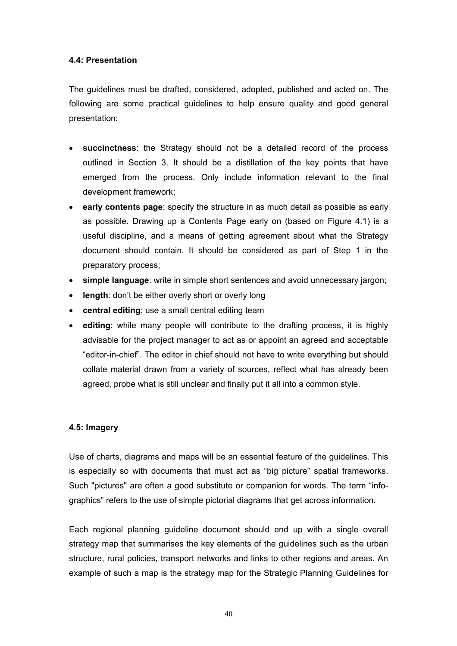#### **4.4: Presentation**

The guidelines must be drafted, considered, adopted, published and acted on. The following are some practical guidelines to help ensure quality and good general presentation:

- **succinctness**: the Strategy should not be a detailed record of the process outlined in Section 3. It should be a distillation of the key points that have emerged from the process. Only include information relevant to the final development framework;
- **early contents page**: specify the structure in as much detail as possible as early as possible. Drawing up a Contents Page early on (based on Figure 4.1) is a useful discipline, and a means of getting agreement about what the Strategy document should contain. It should be considered as part of Step 1 in the preparatory process;
- **simple language**: write in simple short sentences and avoid unnecessary jargon;
- **length**: don't be either overly short or overly long
- **central editing**: use a small central editing team
- **editing**: while many people will contribute to the drafting process, it is highly advisable for the project manager to act as or appoint an agreed and acceptable "editor-in-chief". The editor in chief should not have to write everything but should collate material drawn from a variety of sources, reflect what has already been agreed, probe what is still unclear and finally put it all into a common style.

#### **4.5: Imagery**

Use of charts, diagrams and maps will be an essential feature of the guidelines. This is especially so with documents that must act as "big picture" spatial frameworks. Such "pictures" are often a good substitute or companion for words. The term "infographics" refers to the use of simple pictorial diagrams that get across information.

Each regional planning guideline document should end up with a single overall strategy map that summarises the key elements of the guidelines such as the urban structure, rural policies, transport networks and links to other regions and areas. An example of such a map is the strategy map for the Strategic Planning Guidelines for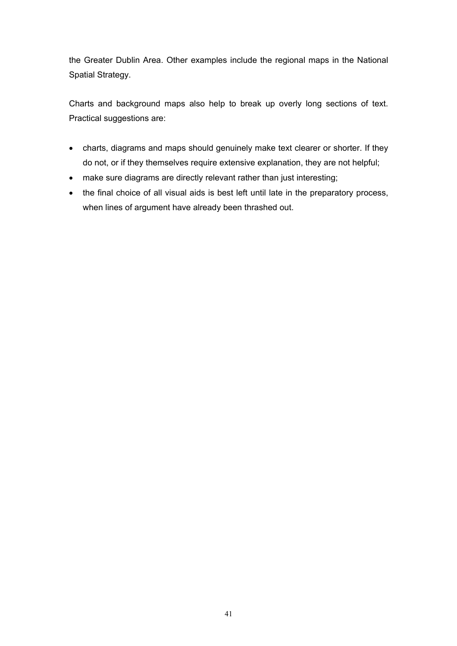the Greater Dublin Area. Other examples include the regional maps in the National Spatial Strategy.

Charts and background maps also help to break up overly long sections of text. Practical suggestions are:

- charts, diagrams and maps should genuinely make text clearer or shorter. If they do not, or if they themselves require extensive explanation, they are not helpful;
- make sure diagrams are directly relevant rather than just interesting;
- the final choice of all visual aids is best left until late in the preparatory process, when lines of argument have already been thrashed out.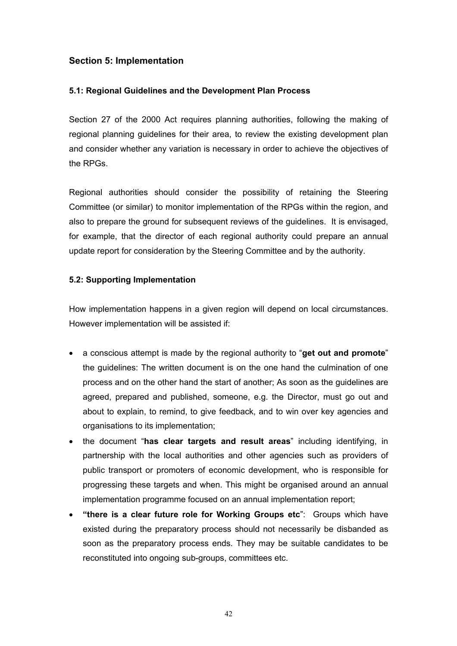# **Section 5: Implementation**

#### **5.1: Regional Guidelines and the Development Plan Process**

Section 27 of the 2000 Act requires planning authorities, following the making of regional planning guidelines for their area, to review the existing development plan and consider whether any variation is necessary in order to achieve the objectives of the RPGs.

Regional authorities should consider the possibility of retaining the Steering Committee (or similar) to monitor implementation of the RPGs within the region, and also to prepare the ground for subsequent reviews of the guidelines. It is envisaged, for example, that the director of each regional authority could prepare an annual update report for consideration by the Steering Committee and by the authority.

# **5.2: Supporting Implementation**

How implementation happens in a given region will depend on local circumstances. However implementation will be assisted if:

- a conscious attempt is made by the regional authority to "**get out and promote**" the guidelines: The written document is on the one hand the culmination of one process and on the other hand the start of another; As soon as the guidelines are agreed, prepared and published, someone, e.g. the Director, must go out and about to explain, to remind, to give feedback, and to win over key agencies and organisations to its implementation;
- the document "**has clear targets and result areas**" including identifying, in partnership with the local authorities and other agencies such as providers of public transport or promoters of economic development, who is responsible for progressing these targets and when. This might be organised around an annual implementation programme focused on an annual implementation report;
- **"there is a clear future role for Working Groups etc**": Groups which have existed during the preparatory process should not necessarily be disbanded as soon as the preparatory process ends. They may be suitable candidates to be reconstituted into ongoing sub-groups, committees etc.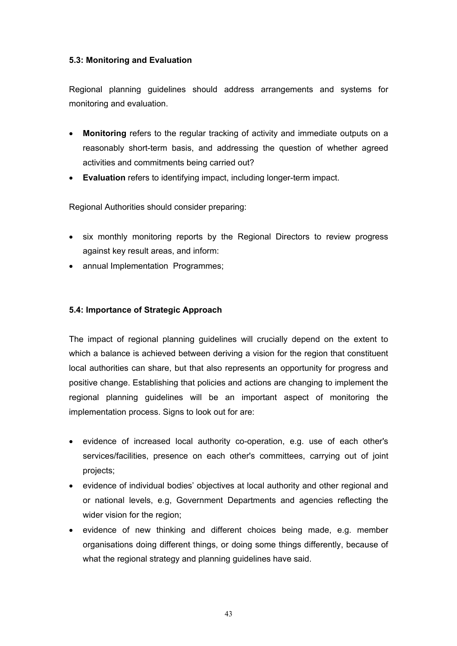# **5.3: Monitoring and Evaluation**

Regional planning guidelines should address arrangements and systems for monitoring and evaluation.

- **Monitoring** refers to the regular tracking of activity and immediate outputs on a reasonably short-term basis, and addressing the question of whether agreed activities and commitments being carried out?
- **Evaluation** refers to identifying impact, including longer-term impact.

Regional Authorities should consider preparing:

- six monthly monitoring reports by the Regional Directors to review progress against key result areas, and inform:
- annual Implementation Programmes;

#### **5.4: Importance of Strategic Approach**

The impact of regional planning guidelines will crucially depend on the extent to which a balance is achieved between deriving a vision for the region that constituent local authorities can share, but that also represents an opportunity for progress and positive change. Establishing that policies and actions are changing to implement the regional planning guidelines will be an important aspect of monitoring the implementation process. Signs to look out for are:

- evidence of increased local authority co-operation, e.g. use of each other's services/facilities, presence on each other's committees, carrying out of joint projects;
- evidence of individual bodies' objectives at local authority and other regional and or national levels, e.g, Government Departments and agencies reflecting the wider vision for the region;
- evidence of new thinking and different choices being made, e.g. member organisations doing different things, or doing some things differently, because of what the regional strategy and planning guidelines have said.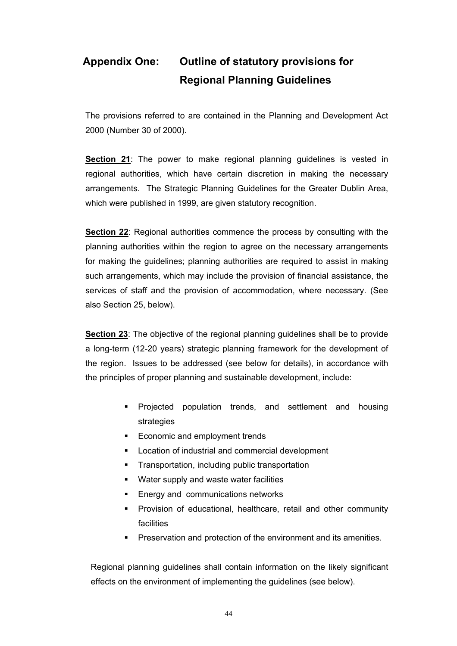# **Appendix One: Outline of statutory provisions for Regional Planning Guidelines**

The provisions referred to are contained in the Planning and Development Act 2000 (Number 30 of 2000).

**Section 21**: The power to make regional planning guidelines is vested in regional authorities, which have certain discretion in making the necessary arrangements. The Strategic Planning Guidelines for the Greater Dublin Area, which were published in 1999, are given statutory recognition.

**Section 22**: Regional authorities commence the process by consulting with the planning authorities within the region to agree on the necessary arrangements for making the guidelines; planning authorities are required to assist in making such arrangements, which may include the provision of financial assistance, the services of staff and the provision of accommodation, where necessary. (See also Section 25, below).

**Section 23**: The objective of the regional planning guidelines shall be to provide a long-term (12-20 years) strategic planning framework for the development of the region. Issues to be addressed (see below for details), in accordance with the principles of proper planning and sustainable development, include:

- **Projected population trends, and settlement and housing** strategies
- **Economic and employment trends**
- **Location of industrial and commercial development**
- Transportation, including public transportation
- **Water supply and waste water facilities**
- **Energy and communications networks**
- **Provision of educational, healthcare, retail and other community** facilities
- **Preservation and protection of the environment and its amenities.**

Regional planning guidelines shall contain information on the likely significant effects on the environment of implementing the guidelines (see below).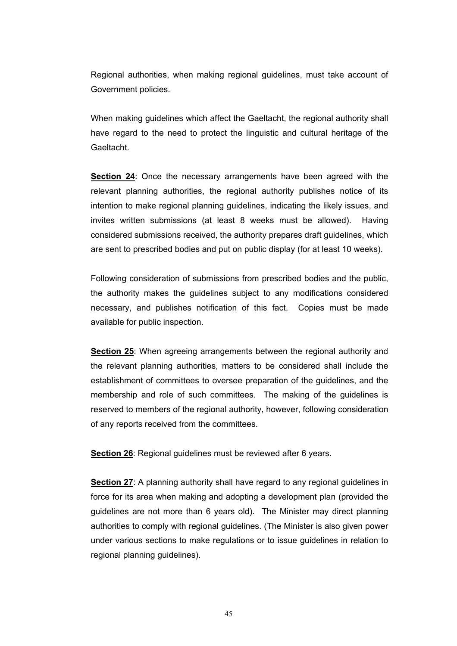Regional authorities, when making regional guidelines, must take account of Government policies.

When making guidelines which affect the Gaeltacht, the regional authority shall have regard to the need to protect the linguistic and cultural heritage of the Gaeltacht.

**Section 24**: Once the necessary arrangements have been agreed with the relevant planning authorities, the regional authority publishes notice of its intention to make regional planning guidelines, indicating the likely issues, and invites written submissions (at least 8 weeks must be allowed). Having considered submissions received, the authority prepares draft guidelines, which are sent to prescribed bodies and put on public display (for at least 10 weeks).

Following consideration of submissions from prescribed bodies and the public, the authority makes the guidelines subject to any modifications considered necessary, and publishes notification of this fact. Copies must be made available for public inspection.

**Section 25**: When agreeing arrangements between the regional authority and the relevant planning authorities, matters to be considered shall include the establishment of committees to oversee preparation of the guidelines, and the membership and role of such committees. The making of the guidelines is reserved to members of the regional authority, however, following consideration of any reports received from the committees.

**Section 26**: Regional guidelines must be reviewed after 6 years.

**Section 27:** A planning authority shall have regard to any regional guidelines in force for its area when making and adopting a development plan (provided the guidelines are not more than 6 years old). The Minister may direct planning authorities to comply with regional guidelines. (The Minister is also given power under various sections to make regulations or to issue guidelines in relation to regional planning guidelines).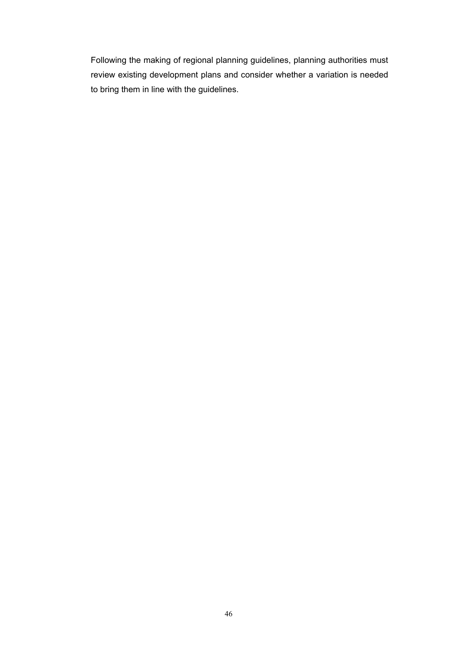Following the making of regional planning guidelines, planning authorities must review existing development plans and consider whether a variation is needed to bring them in line with the guidelines.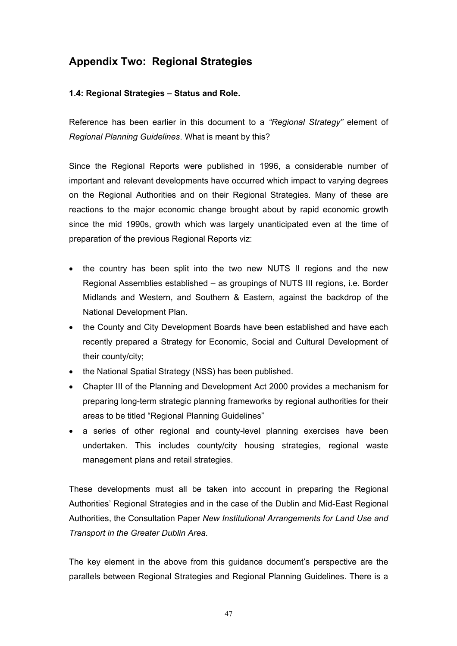# **Appendix Two: Regional Strategies**

# **1.4: Regional Strategies – Status and Role.**

Reference has been earlier in this document to a *"Regional Strategy"* element of *Regional Planning Guidelines*. What is meant by this?

Since the Regional Reports were published in 1996, a considerable number of important and relevant developments have occurred which impact to varying degrees on the Regional Authorities and on their Regional Strategies. Many of these are reactions to the major economic change brought about by rapid economic growth since the mid 1990s, growth which was largely unanticipated even at the time of preparation of the previous Regional Reports viz:

- the country has been split into the two new NUTS II regions and the new Regional Assemblies established – as groupings of NUTS III regions, i.e. Border Midlands and Western, and Southern & Eastern, against the backdrop of the National Development Plan.
- the County and City Development Boards have been established and have each recently prepared a Strategy for Economic, Social and Cultural Development of their county/city;
- the National Spatial Strategy (NSS) has been published.
- Chapter III of the Planning and Development Act 2000 provides a mechanism for preparing long-term strategic planning frameworks by regional authorities for their areas to be titled "Regional Planning Guidelines"
- a series of other regional and county-level planning exercises have been undertaken. This includes county/city housing strategies, regional waste management plans and retail strategies.

These developments must all be taken into account in preparing the Regional Authorities' Regional Strategies and in the case of the Dublin and Mid-East Regional Authorities, the Consultation Paper *New Institutional Arrangements for Land Use and Transport in the Greater Dublin Area.*

The key element in the above from this guidance document's perspective are the parallels between Regional Strategies and Regional Planning Guidelines. There is a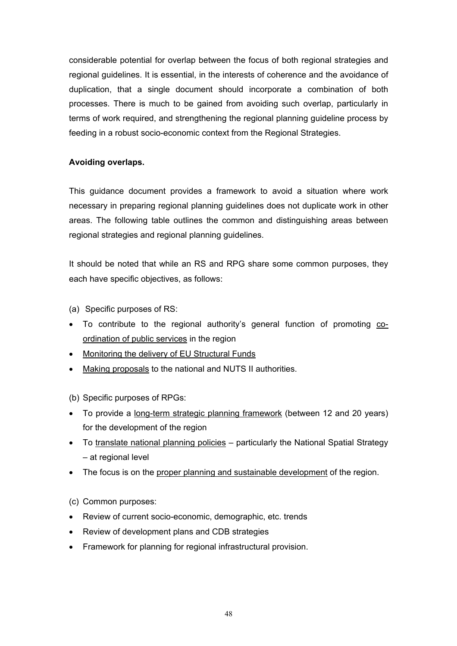considerable potential for overlap between the focus of both regional strategies and regional guidelines. It is essential, in the interests of coherence and the avoidance of duplication, that a single document should incorporate a combination of both processes. There is much to be gained from avoiding such overlap, particularly in terms of work required, and strengthening the regional planning guideline process by feeding in a robust socio-economic context from the Regional Strategies.

# **Avoiding overlaps.**

This guidance document provides a framework to avoid a situation where work necessary in preparing regional planning guidelines does not duplicate work in other areas. The following table outlines the common and distinguishing areas between regional strategies and regional planning guidelines.

It should be noted that while an RS and RPG share some common purposes, they each have specific objectives, as follows:

(a) Specific purposes of RS:

- To contribute to the regional authority's general function of promoting coordination of public services in the region
- Monitoring the delivery of EU Structural Funds
- Making proposals to the national and NUTS II authorities.

(b) Specific purposes of RPGs:

- To provide a long-term strategic planning framework (between 12 and 20 years) for the development of the region
- To translate national planning policies particularly the National Spatial Strategy – at regional level
- The focus is on the proper planning and sustainable development of the region.

(c) Common purposes:

- Review of current socio-economic, demographic, etc. trends
- Review of development plans and CDB strategies
- Framework for planning for regional infrastructural provision.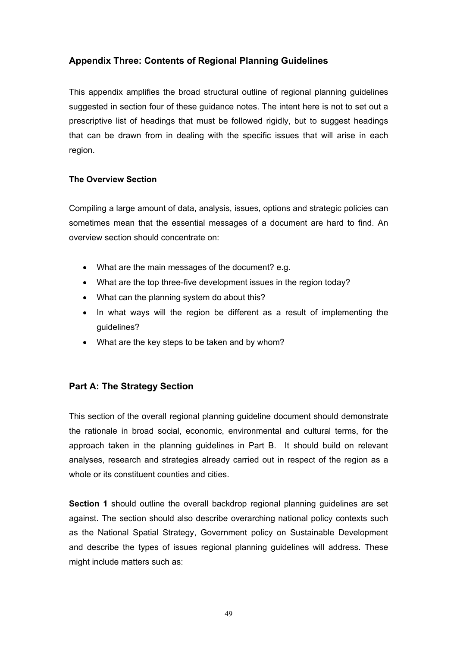# **Appendix Three: Contents of Regional Planning Guidelines**

This appendix amplifies the broad structural outline of regional planning guidelines suggested in section four of these guidance notes. The intent here is not to set out a prescriptive list of headings that must be followed rigidly, but to suggest headings that can be drawn from in dealing with the specific issues that will arise in each region.

# **The Overview Section**

Compiling a large amount of data, analysis, issues, options and strategic policies can sometimes mean that the essential messages of a document are hard to find. An overview section should concentrate on:

- What are the main messages of the document? e.g.
- What are the top three-five development issues in the region today?
- What can the planning system do about this?
- In what ways will the region be different as a result of implementing the guidelines?
- What are the key steps to be taken and by whom?

# **Part A: The Strategy Section**

This section of the overall regional planning guideline document should demonstrate the rationale in broad social, economic, environmental and cultural terms, for the approach taken in the planning guidelines in Part B. It should build on relevant analyses, research and strategies already carried out in respect of the region as a whole or its constituent counties and cities.

**Section 1** should outline the overall backdrop regional planning guidelines are set against. The section should also describe overarching national policy contexts such as the National Spatial Strategy, Government policy on Sustainable Development and describe the types of issues regional planning guidelines will address. These might include matters such as: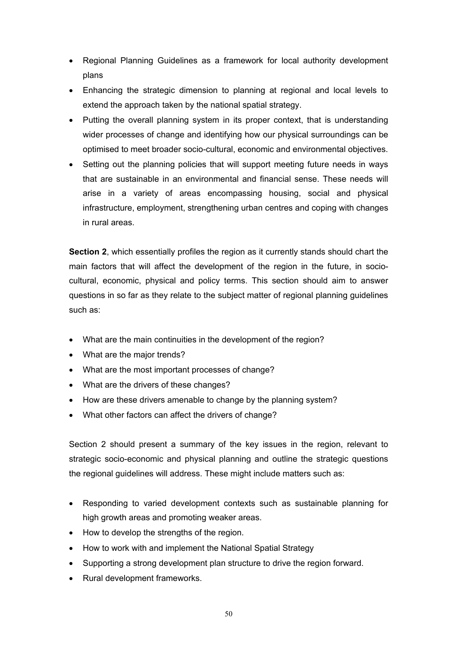- Regional Planning Guidelines as a framework for local authority development plans
- Enhancing the strategic dimension to planning at regional and local levels to extend the approach taken by the national spatial strategy.
- Putting the overall planning system in its proper context, that is understanding wider processes of change and identifying how our physical surroundings can be optimised to meet broader socio-cultural, economic and environmental objectives.
- Setting out the planning policies that will support meeting future needs in ways that are sustainable in an environmental and financial sense. These needs will arise in a variety of areas encompassing housing, social and physical infrastructure, employment, strengthening urban centres and coping with changes in rural areas.

**Section 2**, which essentially profiles the region as it currently stands should chart the main factors that will affect the development of the region in the future, in sociocultural, economic, physical and policy terms. This section should aim to answer questions in so far as they relate to the subject matter of regional planning guidelines such as:

- What are the main continuities in the development of the region?
- What are the major trends?
- What are the most important processes of change?
- What are the drivers of these changes?
- How are these drivers amenable to change by the planning system?
- What other factors can affect the drivers of change?

Section 2 should present a summary of the key issues in the region, relevant to strategic socio-economic and physical planning and outline the strategic questions the regional guidelines will address. These might include matters such as:

- Responding to varied development contexts such as sustainable planning for high growth areas and promoting weaker areas.
- How to develop the strengths of the region.
- How to work with and implement the National Spatial Strategy
- Supporting a strong development plan structure to drive the region forward.
- Rural development frameworks.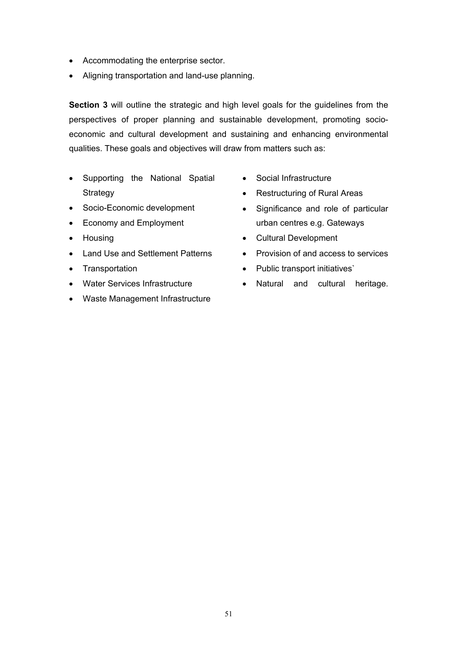- Accommodating the enterprise sector.
- Aligning transportation and land-use planning.

**Section 3** will outline the strategic and high level goals for the guidelines from the perspectives of proper planning and sustainable development, promoting socioeconomic and cultural development and sustaining and enhancing environmental qualities. These goals and objectives will draw from matters such as:

- Supporting the National Spatial **Strategy**
- Socio-Economic development
- Economy and Employment
- Housing
- Land Use and Settlement Patterns
- Transportation
- Water Services Infrastructure
- Waste Management Infrastructure
- Social Infrastructure
- Restructuring of Rural Areas
- Significance and role of particular urban centres e.g. Gateways
- Cultural Development
- Provision of and access to services
- Public transport initiatives`
- Natural and cultural heritage.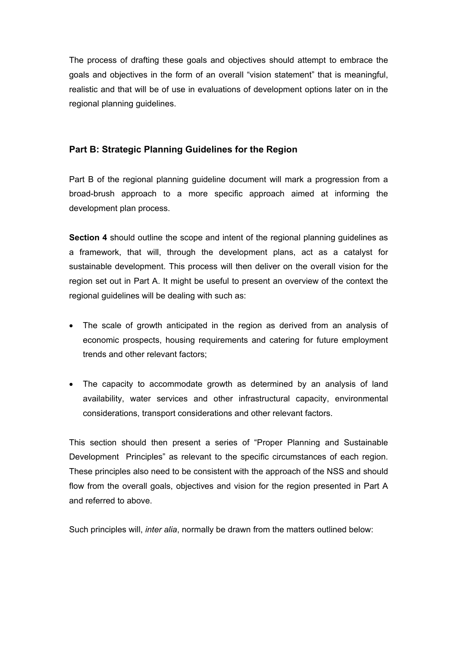The process of drafting these goals and objectives should attempt to embrace the goals and objectives in the form of an overall "vision statement" that is meaningful, realistic and that will be of use in evaluations of development options later on in the regional planning guidelines.

# **Part B: Strategic Planning Guidelines for the Region**

Part B of the regional planning guideline document will mark a progression from a broad-brush approach to a more specific approach aimed at informing the development plan process.

**Section 4** should outline the scope and intent of the regional planning guidelines as a framework, that will, through the development plans, act as a catalyst for sustainable development. This process will then deliver on the overall vision for the region set out in Part A. It might be useful to present an overview of the context the regional guidelines will be dealing with such as:

- The scale of growth anticipated in the region as derived from an analysis of economic prospects, housing requirements and catering for future employment trends and other relevant factors;
- The capacity to accommodate growth as determined by an analysis of land availability, water services and other infrastructural capacity, environmental considerations, transport considerations and other relevant factors.

This section should then present a series of "Proper Planning and Sustainable Development Principles" as relevant to the specific circumstances of each region. These principles also need to be consistent with the approach of the NSS and should flow from the overall goals, objectives and vision for the region presented in Part A and referred to above.

Such principles will, *inter alia*, normally be drawn from the matters outlined below: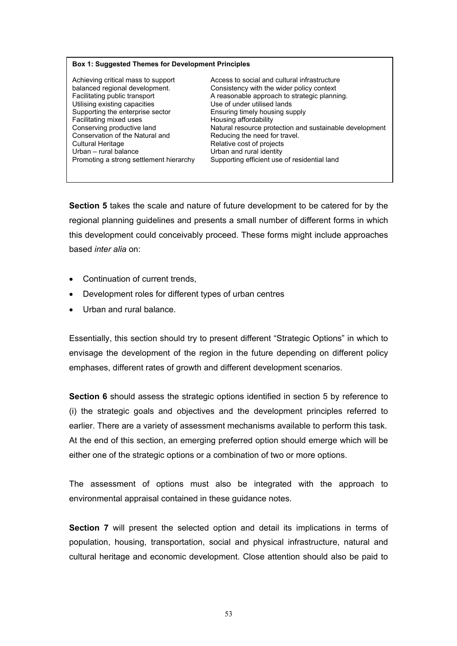#### **Box 1: Suggested Themes for Development Principles**

Utilising existing capacities Use of under utilised lands Supporting the enterprise sector Ensuring timely housing supply Facilitating mixed uses Housing affordability Conservation of the Natural and Reducing the need for travel. Cultural Heritage **Relative Cultural Heritage** Relative cost of projects Urban – rural balance Urban and rural identity

Achieving critical mass to support Access to social and cultural infrastructure balanced regional development. Consistency with the wider policy context Facilitating public transport **A** reasonable approach to strategic planning. Conserving productive land Natural resource protection and sustainable development Promoting a strong settlement hierarchy Supporting efficient use of residential land

**Section 5** takes the scale and nature of future development to be catered for by the regional planning guidelines and presents a small number of different forms in which this development could conceivably proceed. These forms might include approaches based *inter alia* on:

- Continuation of current trends,
- Development roles for different types of urban centres
- Urban and rural balance.

Essentially, this section should try to present different "Strategic Options" in which to envisage the development of the region in the future depending on different policy emphases, different rates of growth and different development scenarios.

**Section 6** should assess the strategic options identified in section 5 by reference to (i) the strategic goals and objectives and the development principles referred to earlier. There are a variety of assessment mechanisms available to perform this task. At the end of this section, an emerging preferred option should emerge which will be either one of the strategic options or a combination of two or more options.

The assessment of options must also be integrated with the approach to environmental appraisal contained in these guidance notes.

**Section 7** will present the selected option and detail its implications in terms of population, housing, transportation, social and physical infrastructure, natural and cultural heritage and economic development. Close attention should also be paid to